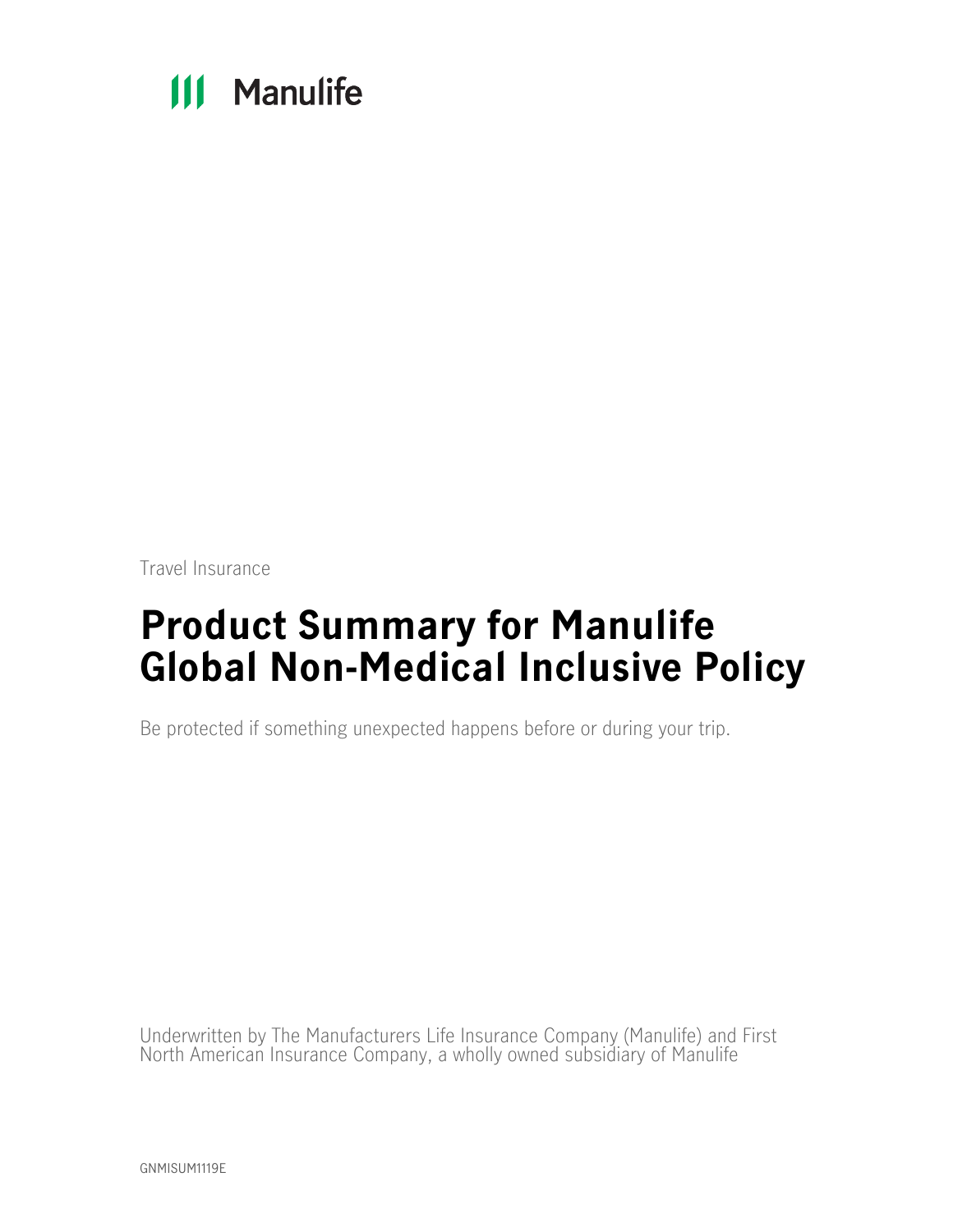# **111 Manulife**

Travel Insurance

# **Product Summary for Manulife Global Non-Medical Inclusive Policy**

Be protected if something unexpected happens before or during your trip.

Underwritten by The Manufacturers Life Insurance Company (Manulife) and First North American Insurance Company, a wholly owned subsidiary of Manulife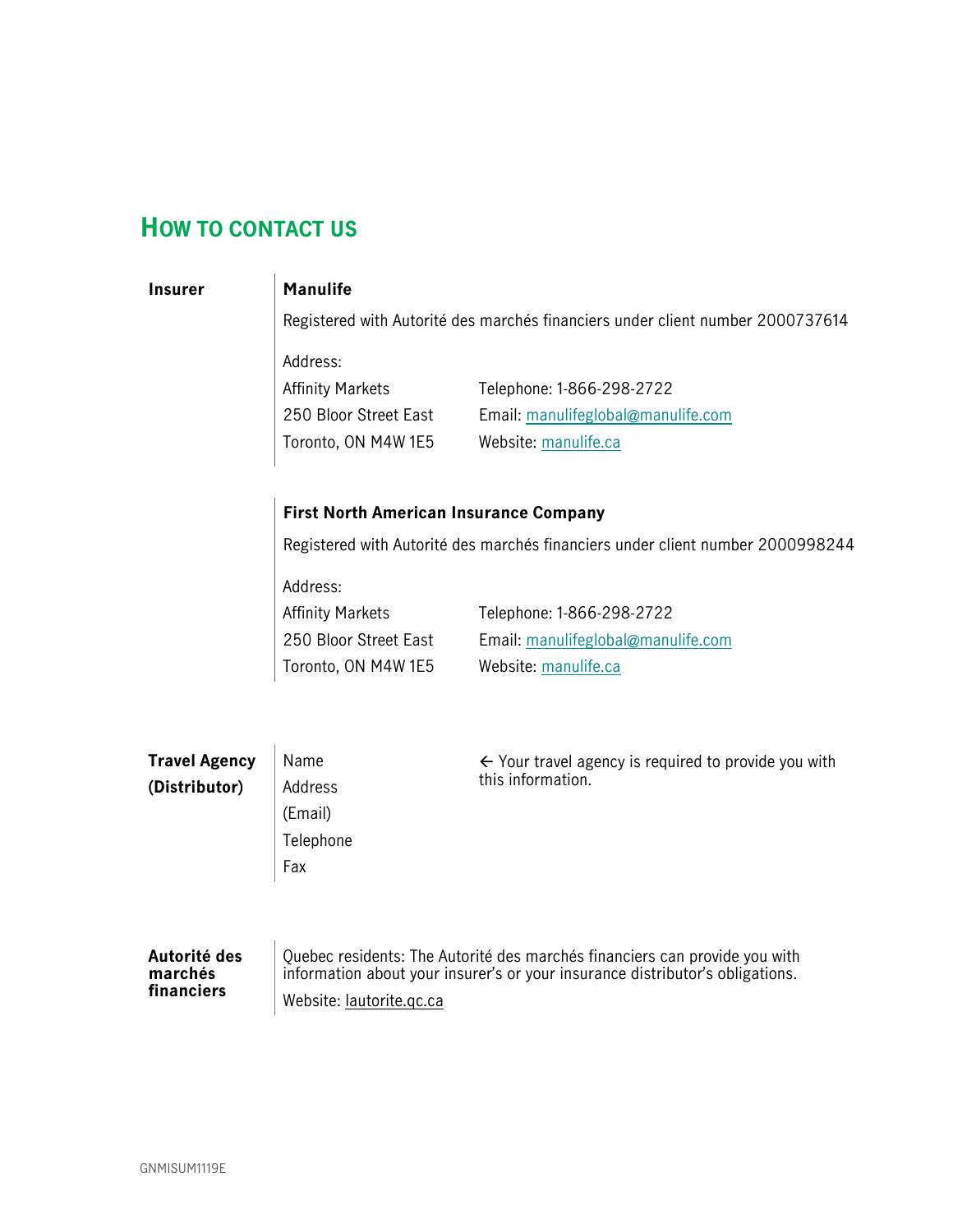# <span id="page-1-0"></span>**HOW TO CONTACT US**

## **Insurer Manulife**

Registered with Autorité des marchés financiers under client number 2000737614

Address: Affinity Markets

250 Bloor Street East Toronto, ON M4W 1E5 Telephone: 1-866-298-2722 Email: manulifeglobal@manulife.com Website: [manulife.ca](http://manulife.ca/)

## **First North American Insurance Company**

Registered with Autorité des marchés financiers under client number 2000998244

Address: Affinity Markets 250 Bloor Street East

Toronto, ON M4W 1E5

Telephone: 1-866-298-2722 Email: manulifeglobal@manulife.com Website: [manulife.ca](http://manulife.ca/)

| <b>Travel Agency</b> | Name      | $\leftarrow$ Your travel agency is required to provide you with            |  |  |
|----------------------|-----------|----------------------------------------------------------------------------|--|--|
| (Distributor)        | Address   | this information.                                                          |  |  |
|                      | (Email)   |                                                                            |  |  |
|                      | Telephone |                                                                            |  |  |
|                      | Fax       |                                                                            |  |  |
|                      |           |                                                                            |  |  |
|                      |           |                                                                            |  |  |
| Autorité des         |           | Quebec residents: The Autorité des marchés financiers can provide you with |  |  |

## **marchés financiers**

information about your insurer's or your insurance distributor's obligations. Website: [lautorite.qc.ca](https://lautorite.qc.ca/)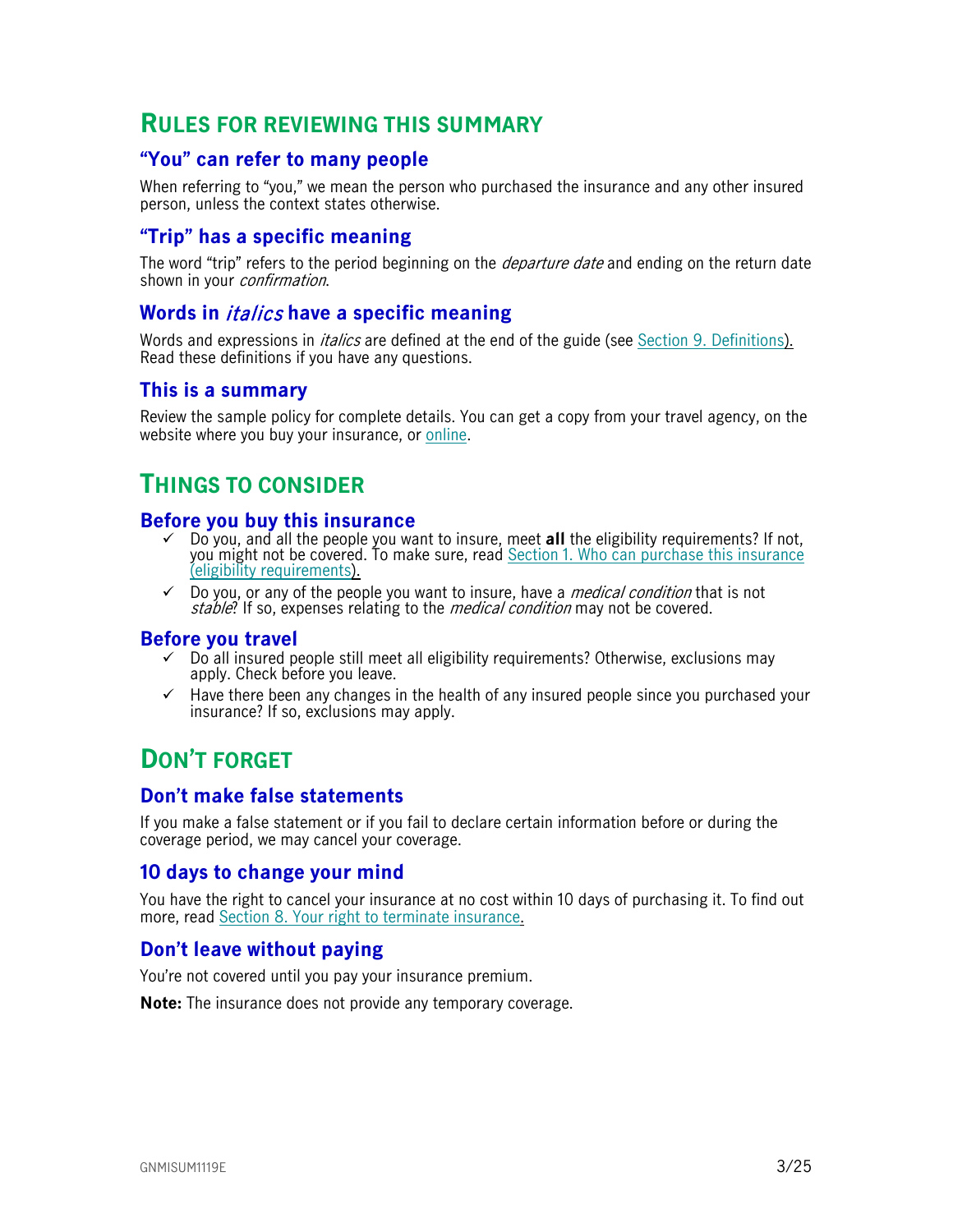# <span id="page-2-0"></span>**RULES FOR REVIEWING THIS SUMMARY**

## <span id="page-2-1"></span>**"You" can refer to many people**

When referring to "you," we mean the person who purchased the insurance and any other insured person, unless the context states otherwise.

## <span id="page-2-2"></span>**"Trip" has a specific meaning**

The word "trip" refers to the period beginning on the *departure date* and ending on the return date shown in your *confirmation*.

## <span id="page-2-3"></span>**Words in** italics **have a specific meaning**

Words and expressions in *italics* are defined at the end of the guide (see Section [9. Definitions\)](#page-22-0). Read these definitions if you have any questions.

## <span id="page-2-4"></span>**This is a summary**

Review the sample policy for complete details. You can get a copy from your travel agency, on the website where you buy your insurance, or [online.](https://www.igoinsured.com/travelcontent/?file=MS-MC_MS-GCX_policyNMED.pdf)

# <span id="page-2-5"></span>**THINGS TO CONSIDER**

## <span id="page-2-6"></span>**Before you buy this insurance**

- Do you, and all the people you want to insure, meet **all** the eligibility requirements? If not, you might not be covered. To make sure, read Section [1. Who can purchase this insurance](#page-5-0)  [\(eligibility requirements\)](#page-5-0).
- $\checkmark$  Do you, or any of the people you want to insure, have a *medical condition* that is not stable? If so, expenses relating to the *medical condition* may not be covered.

#### <span id="page-2-7"></span>**Before you travel**

- $\checkmark$  Do all insured people still meet all eligibility requirements? Otherwise, exclusions may apply. Check before you leave.
- $\checkmark$  Have there been any changes in the health of any insured people since you purchased your insurance? If so, exclusions may apply.

# <span id="page-2-8"></span>**DON'T FORGET**

## <span id="page-2-9"></span>**Don't make false statements**

If you make a false statement or if you fail to declare certain information before or during the coverage period, we may cancel your coverage.

## <span id="page-2-10"></span>**10 days to change your mind**

You have the right to cancel your insurance at no cost within 10 days of purchasing it. To find out more, read [Section 8. Your right to terminate insurance.](#page-21-0)

## <span id="page-2-11"></span>**Don't leave without paying**

You're not covered until you pay your insurance premium.

**Note:** The insurance does not provide any temporary coverage.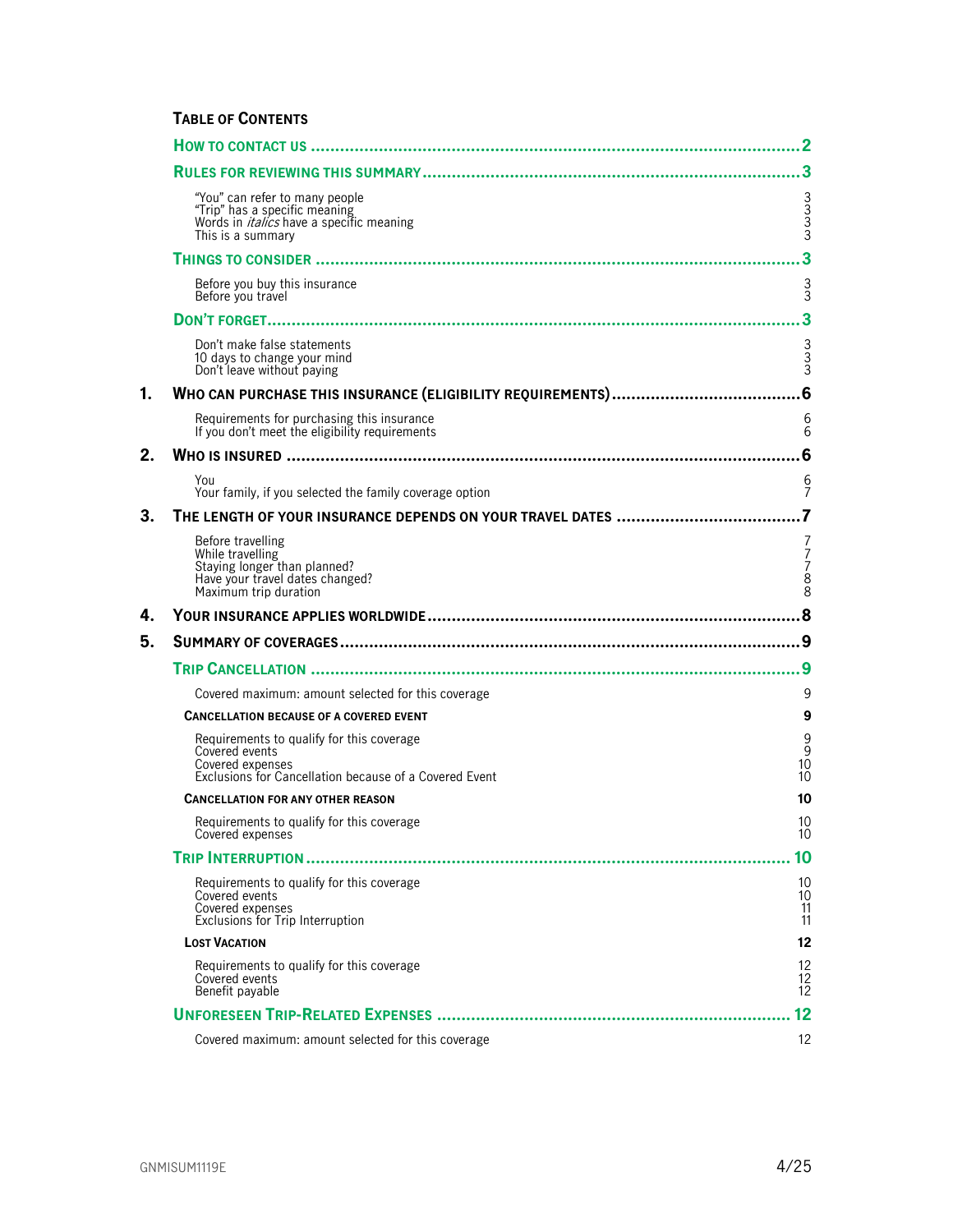## **TABLE OF CONTENTS**

|    |                                                                                                                                           | 2                                   |
|----|-------------------------------------------------------------------------------------------------------------------------------------------|-------------------------------------|
|    |                                                                                                                                           |                                     |
|    | "You" can refer to many people<br>"Trip" has a specific meaning<br>Words in <i>italics</i> have a specific meaning<br>This is a summary   | ვ<br>ვ<br>ვ                         |
|    |                                                                                                                                           | 3                                   |
|    | Before you buy this insurance<br>Before you travel                                                                                        | $\frac{3}{3}$                       |
|    |                                                                                                                                           |                                     |
|    | Don't make false statements<br>10 days to change your mind<br>Don't leave without paying                                                  | 3<br>3<br>3                         |
| 1. |                                                                                                                                           |                                     |
|    | Requirements for purchasing this insurance<br>If you don't meet the eligibility requirements                                              | 6<br>6                              |
| 2. |                                                                                                                                           | 6                                   |
|    | You<br>Your family, if you selected the family coverage option                                                                            | 6<br>$\overline{7}$                 |
| 3. | THE LENGTH OF YOUR INSURANCE DEPENDS ON YOUR TRAVEL DATES                                                                                 |                                     |
|    | Before travelling<br>While travelling<br>Staying longer than planned?<br>Have your travel dates changed?<br>Maximum trip duration         | 7<br>$\frac{7}{7}$<br>$\frac{8}{8}$ |
| 4. |                                                                                                                                           |                                     |
| 5. |                                                                                                                                           | .9                                  |
|    |                                                                                                                                           | 9                                   |
|    | Covered maximum: amount selected for this coverage                                                                                        | 9                                   |
|    | <b>CANCELLATION BECAUSE OF A COVERED EVENT</b>                                                                                            | 9                                   |
|    | Requirements to qualify for this coverage<br>Covered events<br>Covered expenses<br>Exclusions for Cancellation because of a Covered Event | $\frac{9}{9}$<br>10<br>10           |
|    | <b>CANCELLATION FOR ANY OTHER REASON</b>                                                                                                  | 10                                  |
|    |                                                                                                                                           |                                     |
|    | Requirements to qualify for this coverage<br>Covered expenses                                                                             | 10<br>10                            |
|    |                                                                                                                                           | 10                                  |
|    | Requirements to qualify for this coverage<br>Covered events<br>Covered expenses<br>Exclusions for Trip Interruption                       | 10<br>10<br>11<br>11                |
|    | <b>LOST VACATION</b>                                                                                                                      | 12 <sup>2</sup>                     |
|    | Requirements to qualify for this coverage<br>Covered events<br>Benefit payable                                                            | $\frac{12}{12}$<br>12               |
|    |                                                                                                                                           | 12                                  |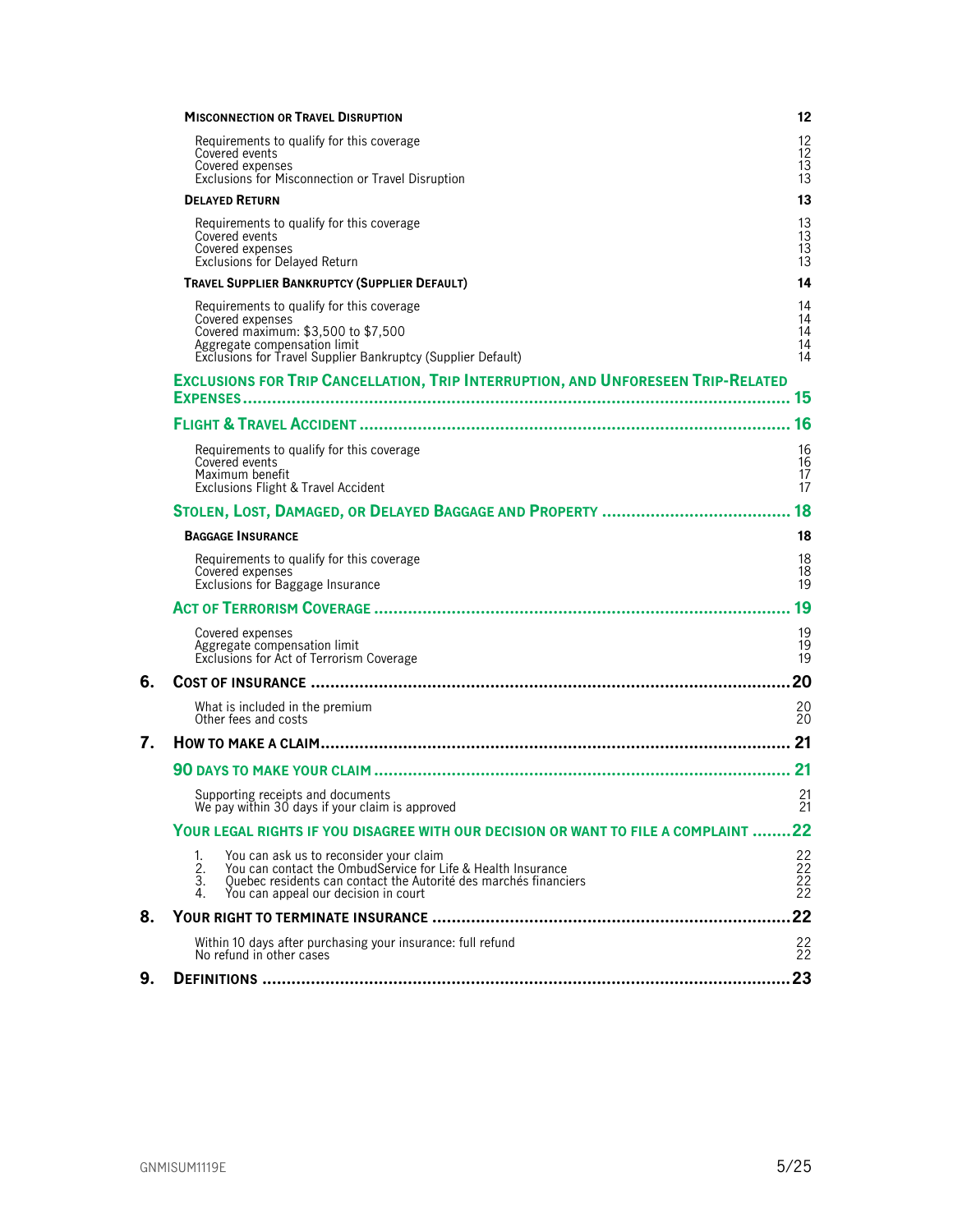|    | <b>MISCONNECTION OR TRAVEL DISRUPTION</b>                                                                                                                                                                                                               | 12                           |
|----|---------------------------------------------------------------------------------------------------------------------------------------------------------------------------------------------------------------------------------------------------------|------------------------------|
|    | Requirements to qualify for this coverage<br>Covered events<br>Covered expenses<br>Exclusions for Misconnection or Travel Disruption                                                                                                                    | 12<br>12<br>13<br>13         |
|    | <b>DELAYED RETURN</b>                                                                                                                                                                                                                                   | 13                           |
|    | Requirements to qualify for this coverage<br>Covered events<br>Covered expenses<br><b>Exclusions for Delayed Return</b>                                                                                                                                 | 13<br>13<br>13<br>13         |
|    | <b>TRAVEL SUPPLIER BANKRUPTCY (SUPPLIER DEFAULT)</b>                                                                                                                                                                                                    | 14                           |
|    | Requirements to qualify for this coverage<br>Covered expenses<br>Covered maximum: \$3,500 to \$7,500<br>Aggregate compensation limit<br>Exclusions for Travel Supplier Bankruptcy (Supplier Default)                                                    | 14<br>14<br>14<br>14<br>14   |
|    | EXCLUSIONS FOR TRIP CANCELLATION, TRIP INTERRUPTION, AND UNFORESEEN TRIP-RELATED<br><b>EXPENSES</b>                                                                                                                                                     | 15                           |
|    |                                                                                                                                                                                                                                                         | 16                           |
|    | Requirements to qualify for this coverage<br>Covered events<br>Maximum benefit<br>Exclusions Flight & Travel Accident                                                                                                                                   | 16<br>16<br>17<br>17         |
|    |                                                                                                                                                                                                                                                         | 18                           |
|    | <b>BAGGAGE INSURANCE</b>                                                                                                                                                                                                                                | 18                           |
|    | Requirements to qualify for this coverage<br>Covered expenses<br>Exclusions for Baggage Insurance                                                                                                                                                       | 18<br>18<br>19               |
|    |                                                                                                                                                                                                                                                         | 19                           |
|    | Covered expenses<br>Aggregate compensation limit<br>Exclusions for Act of Terrorism Coverage                                                                                                                                                            | 19<br>19<br>19               |
| 6. |                                                                                                                                                                                                                                                         | 20                           |
|    | What is included in the premium<br>Other fees and costs                                                                                                                                                                                                 | 20<br>20                     |
| 7. | <b>HOW TO MAKE A CLAIM.</b>                                                                                                                                                                                                                             | 21                           |
|    |                                                                                                                                                                                                                                                         | 21                           |
|    | Supporting receipts and documents<br>We pay within 30 days if your claim is approved                                                                                                                                                                    | 21<br>21                     |
|    | YOUR LEGAL RIGHTS IF YOU DISAGREE WITH OUR DECISION OR WANT TO FILE A COMPLAINT                                                                                                                                                                         | 22                           |
|    | You can ask us to reconsider your claim<br>1.<br>You can contact the OmbudService for Life & Health Insurance<br>2.<br>Quebec residents can contact the Autorité des marchés financiers<br>3.<br>You can appeal our decision in court<br>4 <sup>1</sup> | $^{22}_{22}$<br>$^{22}_{22}$ |
| 8. |                                                                                                                                                                                                                                                         | 22                           |
|    | Within 10 days after purchasing your insurance: full refund<br>No refund in other cases                                                                                                                                                                 | $^{22}_{22}$                 |
| 9. |                                                                                                                                                                                                                                                         | 23                           |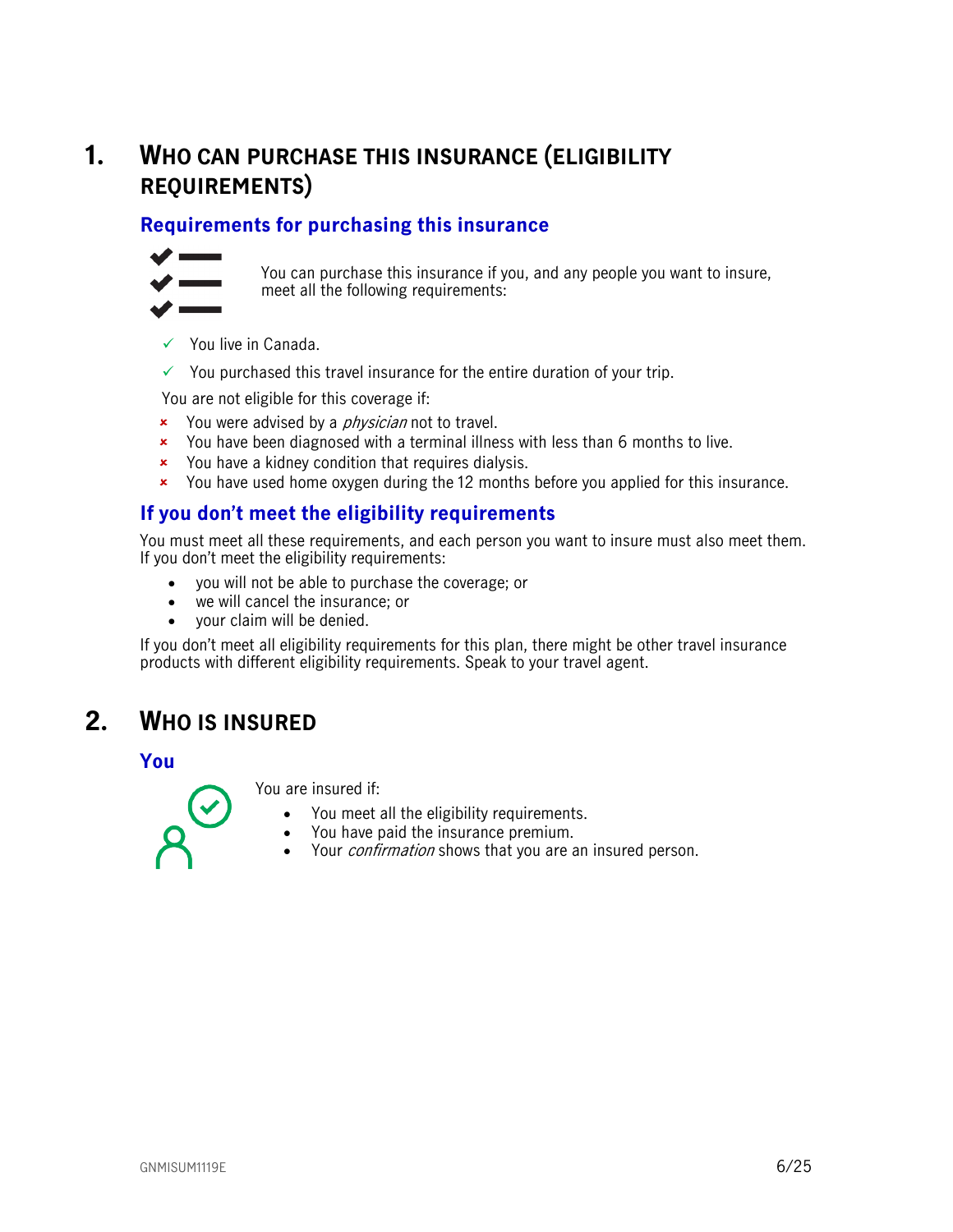# <span id="page-5-0"></span>**1. WHO CAN PURCHASE THIS INSURANCE (ELIGIBILITY REQUIREMENTS)**

## <span id="page-5-1"></span>**Requirements for purchasing this insurance**



You can purchase this insurance if you, and any people you want to insure, meet all the following requirements:

- $\checkmark$  You live in Canada.
- $\checkmark$  You purchased this travel insurance for the entire duration of your trip.

You are not eligible for this coverage if:

- **x** You were advised by a *physician* not to travel.
- x You have been diagnosed with a terminal illness with less than 6 months to live.
- You have a kidney condition that requires dialysis.
- You have used home oxygen during the 12 months before you applied for this insurance.

## <span id="page-5-2"></span>**If you don't meet the eligibility requirements**

You must meet all these requirements, and each person you want to insure must also meet them. If you don't meet the eligibility requirements:

- you will not be able to purchase the coverage; or
- we will cancel the insurance; or
- your claim will be denied.

<span id="page-5-3"></span>If you don't meet all eligibility requirements for this plan, there might be other travel insurance products with different eligibility requirements. Speak to your travel agent.

# **2. WHO IS INSURED**

<span id="page-5-4"></span>**You**

You are insured if:

- You meet all the eligibility requirements.
- You have paid the insurance premium.
- Your *confirmation* shows that you are an insured person.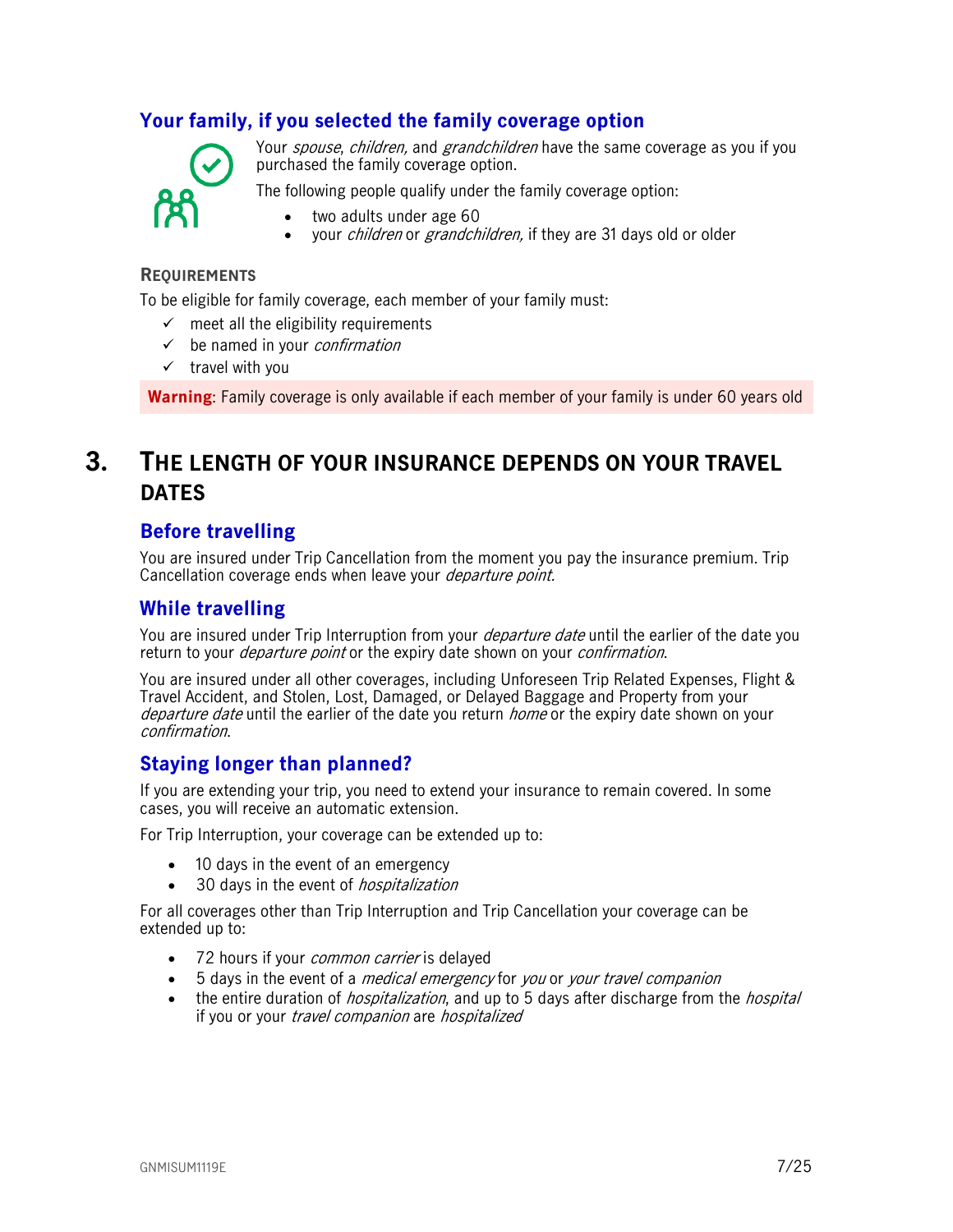## <span id="page-6-0"></span>**Your family, if you selected the family coverage option**



Your *spouse, children,* and *grandchildren* have the same coverage as you if you purchased the family coverage option.

The following people qualify under the family coverage option:

- two adults under age 60
- vour *children* or *grandchildren*, if they are 31 days old or older

#### **REQUIREMENTS**

To be eligible for family coverage, each member of your family must:

- $\checkmark$  meet all the eligibility requirements
- $\checkmark$  be named in your *confirmation*
- $\checkmark$  travel with you

<span id="page-6-1"></span>**Warning**: Family coverage is only available if each member of your family is under 60 years old

# **3. THE LENGTH OF YOUR INSURANCE DEPENDS ON YOUR TRAVEL DATES**

## <span id="page-6-2"></span>**Before travelling**

You are insured under Trip Cancellation from the moment you pay the insurance premium. Trip Cancellation coverage ends when leave your *departure point*.

## <span id="page-6-3"></span>**While travelling**

You are insured under Trip Interruption from your *departure date* until the earlier of the date you return to your *departure point* or the expiry date shown on your *confirmation*.

You are insured under all other coverages, including Unforeseen Trip Related Expenses, Flight & Travel Accident, and Stolen, Lost, Damaged, or Delayed Baggage and Property from your departure date until the earlier of the date you return *home* or the expiry date shown on your confirmation.

## <span id="page-6-4"></span>**Staying longer than planned?**

If you are extending your trip, you need to extend your insurance to remain covered. In some cases, you will receive an automatic extension.

For Trip Interruption, your coverage can be extended up to:

- 10 days in the event of an emergency
- 30 days in the event of *hospitalization*

For all coverages other than Trip Interruption and Trip Cancellation your coverage can be extended up to:

- 72 hours if your *common carrier* is delayed
- 5 days in the event of a *medical emergency* for you or your travel companion
- the entire duration of *hospitalization*, and up to 5 days after discharge from the *hospital* if you or your travel companion are hospitalized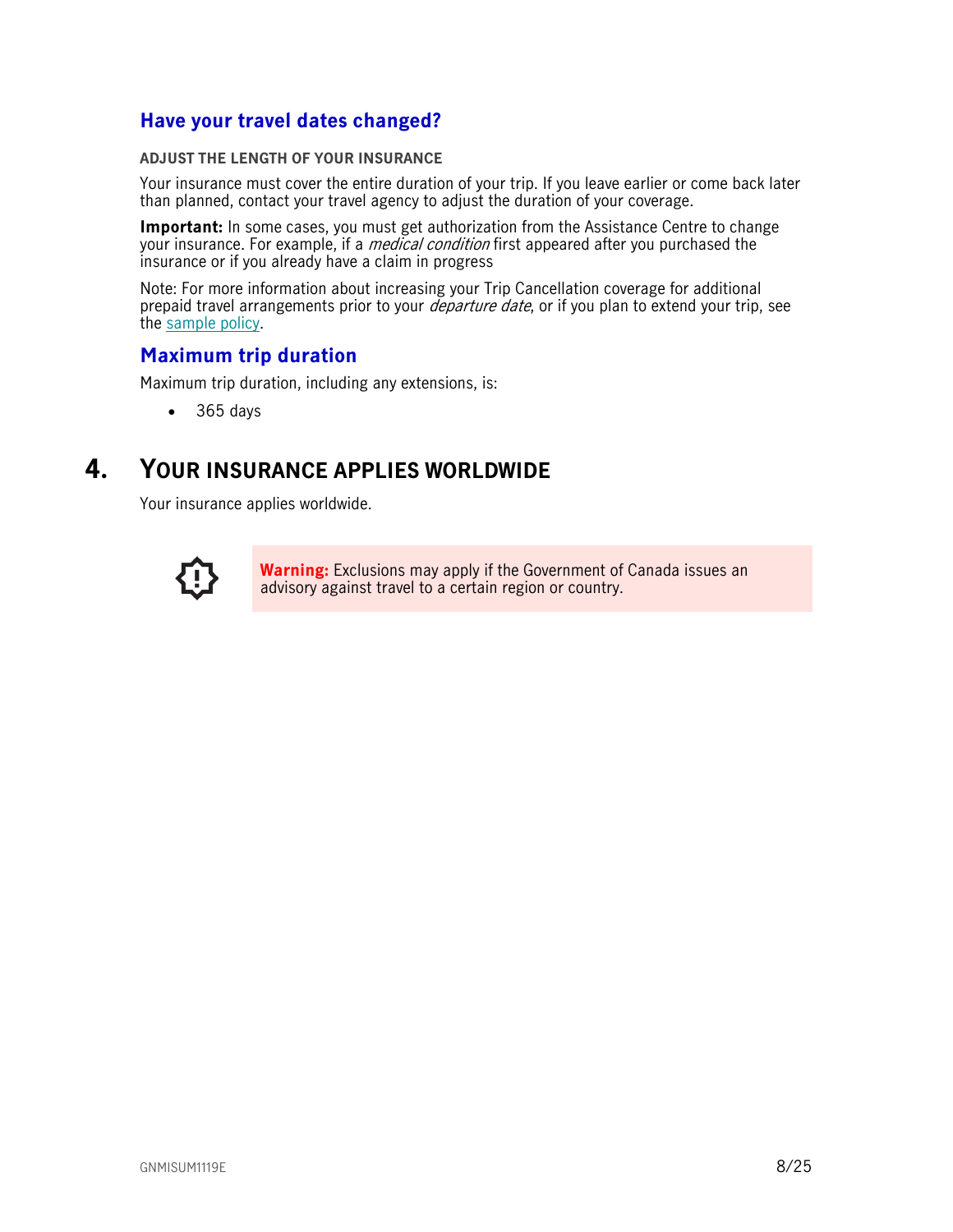## <span id="page-7-0"></span>**Have your travel dates changed?**

#### **ADJUST THE LENGTH OF YOUR INSURANCE**

Your insurance must cover the entire duration of your trip. If you leave earlier or come back later than planned, contact your travel agency to adjust the duration of your coverage.

**Important:** In some cases, you must get authorization from the Assistance Centre to change your insurance. For example, if a *medical condition* first appeared after you purchased the insurance or if you already have a claim in progress

Note: For more information about increasing your Trip Cancellation coverage for additional prepaid travel arrangements prior to your *departure date*, or if you plan to extend your trip, see the [sample policy.](https://www.igoinsured.com/travelcontent/?file=MS-MC_MS-GCX_policyNMED.pdf)

## <span id="page-7-1"></span>**Maximum trip duration**

Maximum trip duration, including any extensions, is:

<span id="page-7-2"></span>• 365 days

# **4. YOUR INSURANCE APPLIES WORLDWIDE**

Your insurance applies worldwide.



**Warning:** Exclusions may apply if the Government of Canada issues an advisory against travel to a certain region or country.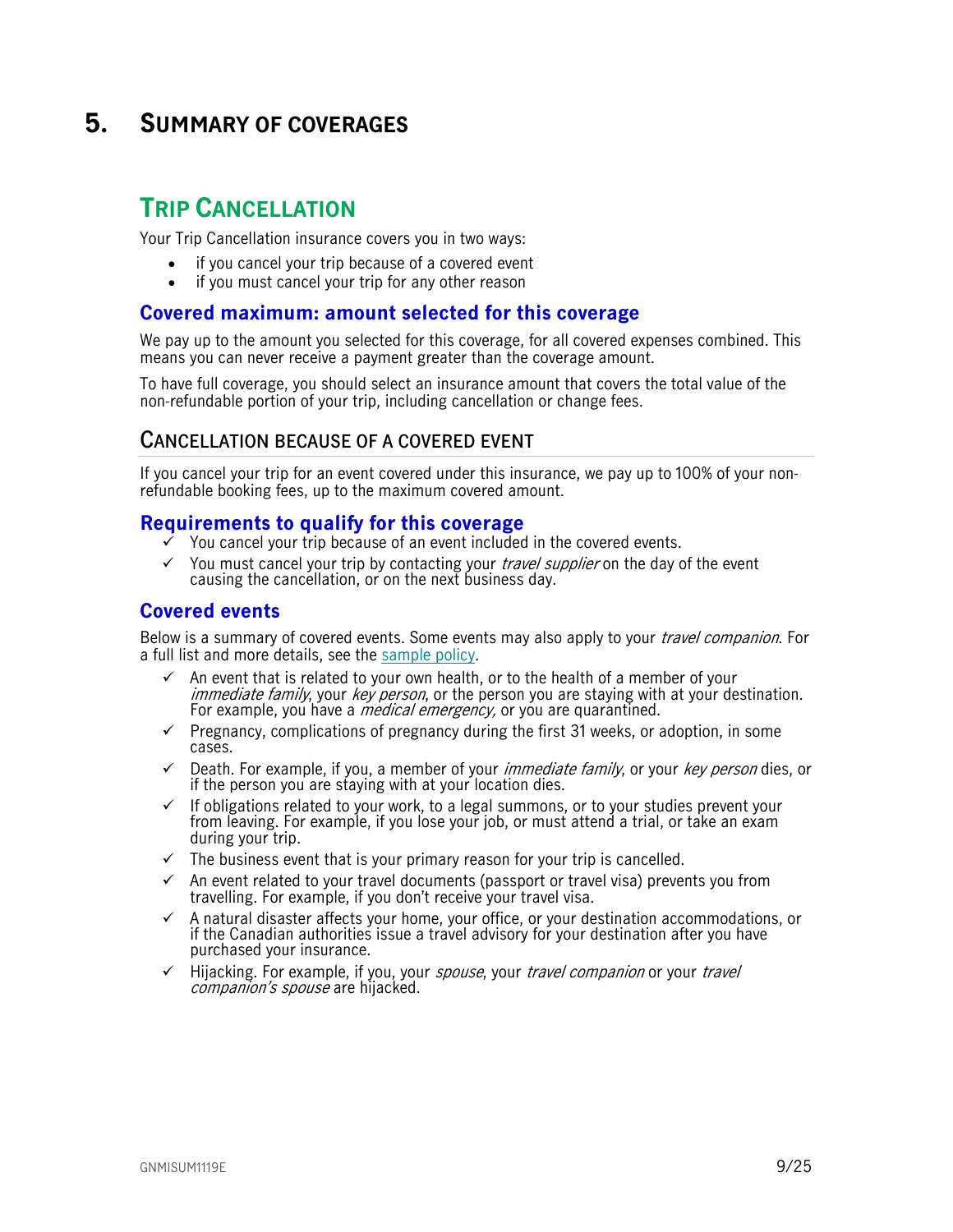# <span id="page-8-0"></span>**5. SUMMARY OF COVERAGES**

# <span id="page-8-1"></span>**TRIP CANCELLATION**

Your Trip Cancellation insurance covers you in two ways:

- if you cancel your trip because of a covered event
- if you must cancel your trip for any other reason

## <span id="page-8-2"></span>**Covered maximum: amount selected for this coverage**

We pay up to the amount you selected for this coverage, for all covered expenses combined. This means you can never receive a payment greater than the coverage amount.

To have full coverage, you should select an insurance amount that covers the total value of the non-refundable portion of your trip, including cancellation or change fees.

## <span id="page-8-3"></span>**CANCELLATION BECAUSE OF A COVERED EVENT**

If you cancel your trip for an event covered under this insurance, we pay up to 100% of your nonrefundable booking fees, up to the maximum covered amount.

## <span id="page-8-4"></span>**Requirements to qualify for this coverage**

- You cancel your trip because of an event included in the covered events.
- $\checkmark$  You must cancel your trip by contacting your *travel supplier* on the day of the event causing the cancellation, or on the next business day.

## <span id="page-8-5"></span>**Covered events**

Below is a summary of covered events. Some events may also apply to your *travel companion*. For a full list and more details, see the [sample policy.](https://www.igoinsured.com/travelcontent/?file=MS-MC_MS-GCX_policyNMED.pdf)

- $\checkmark$  An event that is related to your own health, or to the health of a member of your immediate family, your key person, or the person you are staying with at your destination. For example, you have a *medical emergency*, or you are quarantined.
- $\checkmark$  Pregnancy, complications of pregnancy during the first 31 weeks, or adoption, in some cases.
- $\checkmark$  Death. For example, if you, a member of your *immediate family*, or your *key person* dies, or if the person you are staying with at your location dies.
- $\checkmark$  If obligations related to your work, to a legal summons, or to your studies prevent your from leaving. For example, if you lose your job, or must attend a trial, or take an exam during your trip.
- $\checkmark$  The business event that is your primary reason for your trip is cancelled.
- $\checkmark$  An event related to your travel documents (passport or travel visa) prevents you from travelling. For example, if you don't receive your travel visa.
- $\checkmark$  A natural disaster affects your home, your office, or your destination accommodations, or if the Canadian authorities issue a travel advisory for your destination after you have purchased your insurance.
- $\checkmark$  Hijacking. For example, if you, your spouse, your travel companion or your travel companion's spouse are hijacked.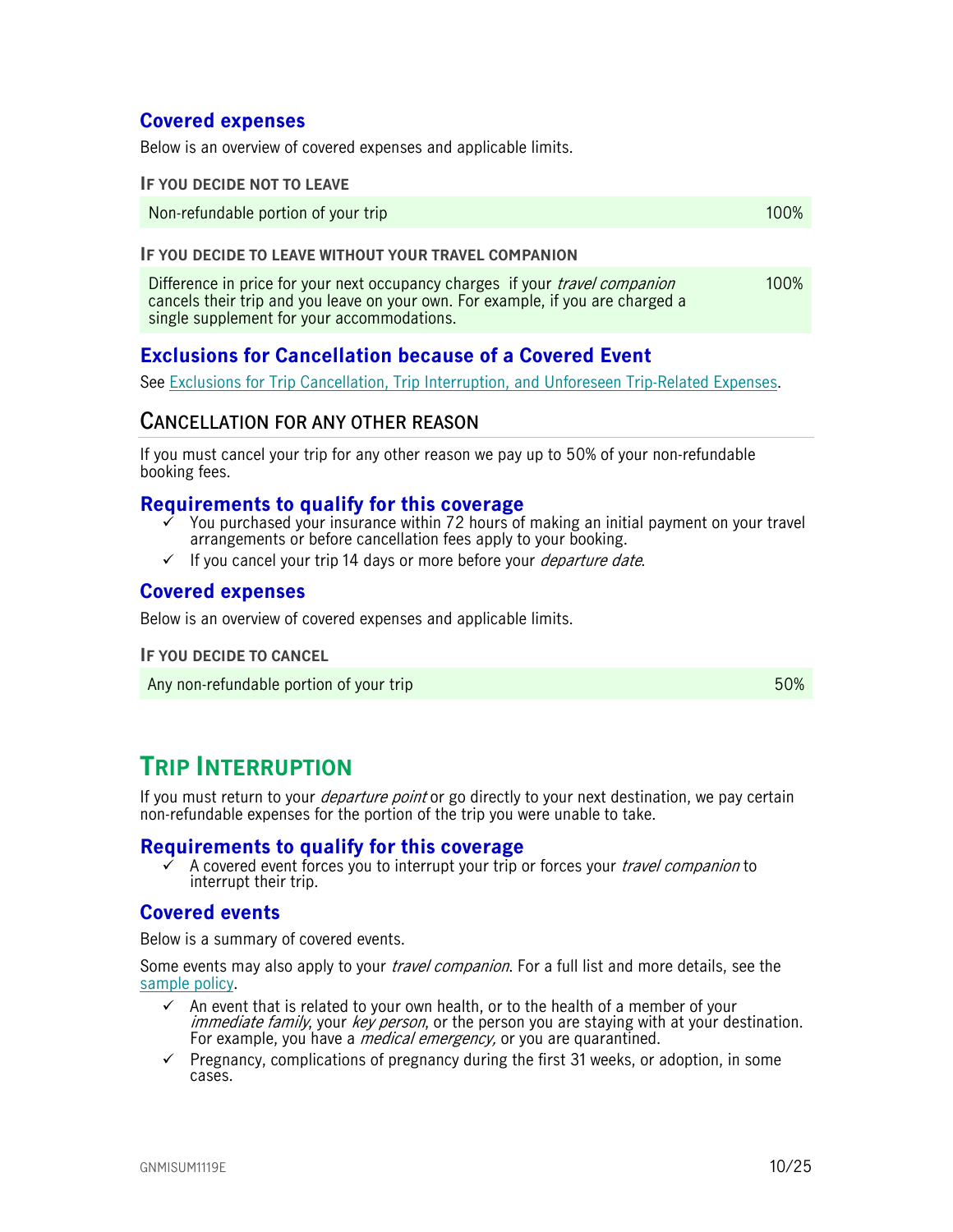## <span id="page-9-0"></span>**Covered expenses**

Below is an overview of covered expenses and applicable limits.

#### **IF YOU DECIDE NOT TO LEAVE**

Non-refundable portion of your trip 100% and the state of the state of the 100% of the 100% of the 100% of the  $100\%$ 

#### **IF YOU DECIDE TO LEAVE WITHOUT YOUR TRAVEL COMPANION**

Difference in price for your next occupancy charges if your *travel companion* cancels their trip and you leave on your own. For example, if you are charged a single supplement for your accommodations. 100%

## <span id="page-9-1"></span>**Exclusions for Cancellation because of a Covered Event**

See [Exclusions for Trip Cancellation, Trip Interruption, and Unforeseen Trip-Related Expenses.](#page-14-0)

## <span id="page-9-2"></span>**CANCELLATION FOR ANY OTHER REASON**

If you must cancel your trip for any other reason we pay up to 50% of your non-refundable booking fees.

## <span id="page-9-3"></span>**Requirements to qualify for this coverage**

- You purchased your insurance within 72 hours of making an initial payment on your travel arrangements or before cancellation fees apply to your booking.
- $\checkmark$  If you cancel your trip 14 days or more before your *departure date.*

## <span id="page-9-4"></span>**Covered expenses**

Below is an overview of covered expenses and applicable limits.

**IF YOU DECIDE TO CANCEL**

<span id="page-9-5"></span>Any non-refundable portion of your trip 50%

# **TRIP INTERRUPTION**

If you must return to your *departure point* or go directly to your next destination, we pay certain non-refundable expenses for the portion of the trip you were unable to take.

#### <span id="page-9-6"></span>**Requirements to qualify for this coverage**

A covered event forces you to interrupt your trip or forces your *travel companion* to interrupt their trip.

## <span id="page-9-7"></span>**Covered events**

Below is a summary of covered events.

Some events may also apply to your *travel companion*. For a full list and more details, see the [sample policy.](https://www.igoinsured.com/travelcontent/?file=MS-MC_MS-GCX_policyNMED.pdf)

- An event that is related to your own health, or to the health of a member of your immediate family, your key person, or the person you are staying with at your destination. For example, you have a *medical emergency*, or you are quarantined.
- $\checkmark$  Pregnancy, complications of pregnancy during the first 31 weeks, or adoption, in some cases.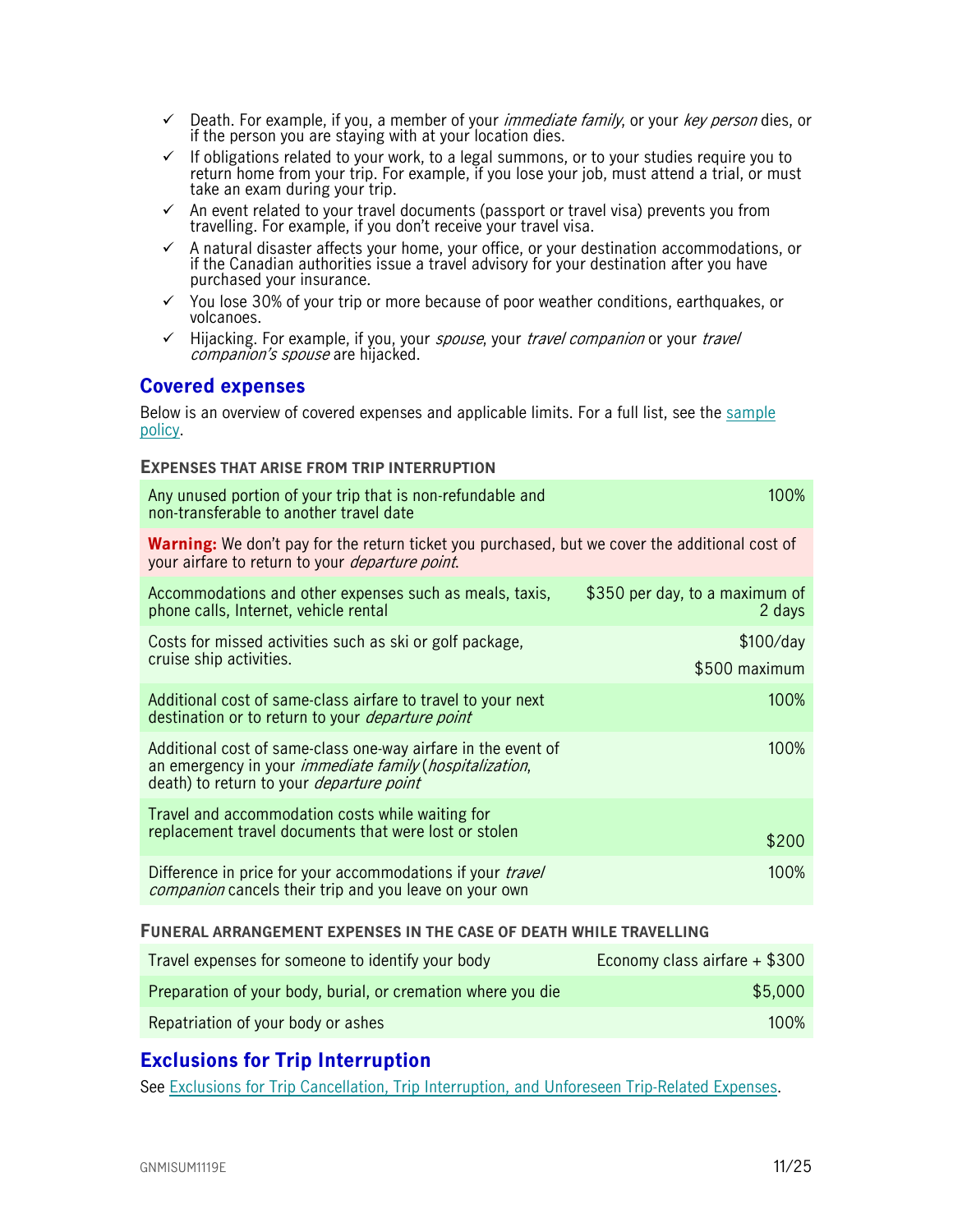- $\checkmark$  Death. For example, if you, a member of your *immediate family*, or your *key person* dies, or if the person you are staying with at your location dies.
- $\checkmark$  If obligations related to your work, to a legal summons, or to your studies require you to return home from your trip. For example, if you lose your job, must attend a trial, or must take an exam during your trip.
- $\checkmark$  An event related to your travel documents (passport or travel visa) prevents you from travelling. For example, if you don't receive your travel visa.
- $\checkmark$  A natural disaster affects your home, your office, or your destination accommodations, or if the Canadian authorities issue a travel advisory for your destination after you have purchased your insurance.
- $\checkmark$  You lose 30% of your trip or more because of poor weather conditions, earthquakes, or volcanoes.
- $\checkmark$  Hijacking. For example, if you, your spouse, your travel companion or your travel companion's spouse are hijacked.

## <span id="page-10-0"></span>**Covered expenses**

Below is an overview of covered expenses and applicable limits. For a full list, see the [sample](https://www.igoinsured.com/travelcontent/?file=MS-MC_MS-GCX_policyNMED.pdf)  [policy.](https://www.igoinsured.com/travelcontent/?file=MS-MC_MS-GCX_policyNMED.pdf)

#### **EXPENSES THAT ARISE FROM TRIP INTERRUPTION**

| Any unused portion of your trip that is non-refundable and<br>non-transferable to another travel date                                                                              | 100%                                     |
|------------------------------------------------------------------------------------------------------------------------------------------------------------------------------------|------------------------------------------|
| <b>Warning:</b> We don't pay for the return ticket you purchased, but we cover the additional cost of<br>your airfare to return to your <i>departure point</i> .                   |                                          |
| Accommodations and other expenses such as meals, taxis,<br>phone calls, Internet, vehicle rental                                                                                   | \$350 per day, to a maximum of<br>2 days |
| Costs for missed activities such as ski or golf package,<br>cruise ship activities.                                                                                                | \$100/day<br>\$500 maximum               |
| Additional cost of same-class airfare to travel to your next<br>destination or to return to your <i>departure point</i>                                                            | 100%                                     |
| Additional cost of same-class one-way airfare in the event of<br>an emergency in your <i>immediate family (hospitalization,</i><br>death) to return to your <i>departure point</i> | 100%                                     |
| Travel and accommodation costs while waiting for<br>replacement travel documents that were lost or stolen                                                                          | \$200                                    |
| Difference in price for your accommodations if your <i>travel</i><br><i>companion</i> cancels their trip and you leave on your own                                                 | 100%                                     |

#### **FUNERAL ARRANGEMENT EXPENSES IN THE CASE OF DEATH WHILE TRAVELLING**

| Travel expenses for someone to identify your body            | Economy class airfare + \$300 |
|--------------------------------------------------------------|-------------------------------|
| Preparation of your body, burial, or cremation where you die | \$5,000                       |
| Repatriation of your body or ashes                           | $100\%$                       |

## <span id="page-10-1"></span>**Exclusions for Trip Interruption**

See [Exclusions for Trip Cancellation, Trip Interruption, and Unforeseen Trip-Related Expenses.](#page-14-0)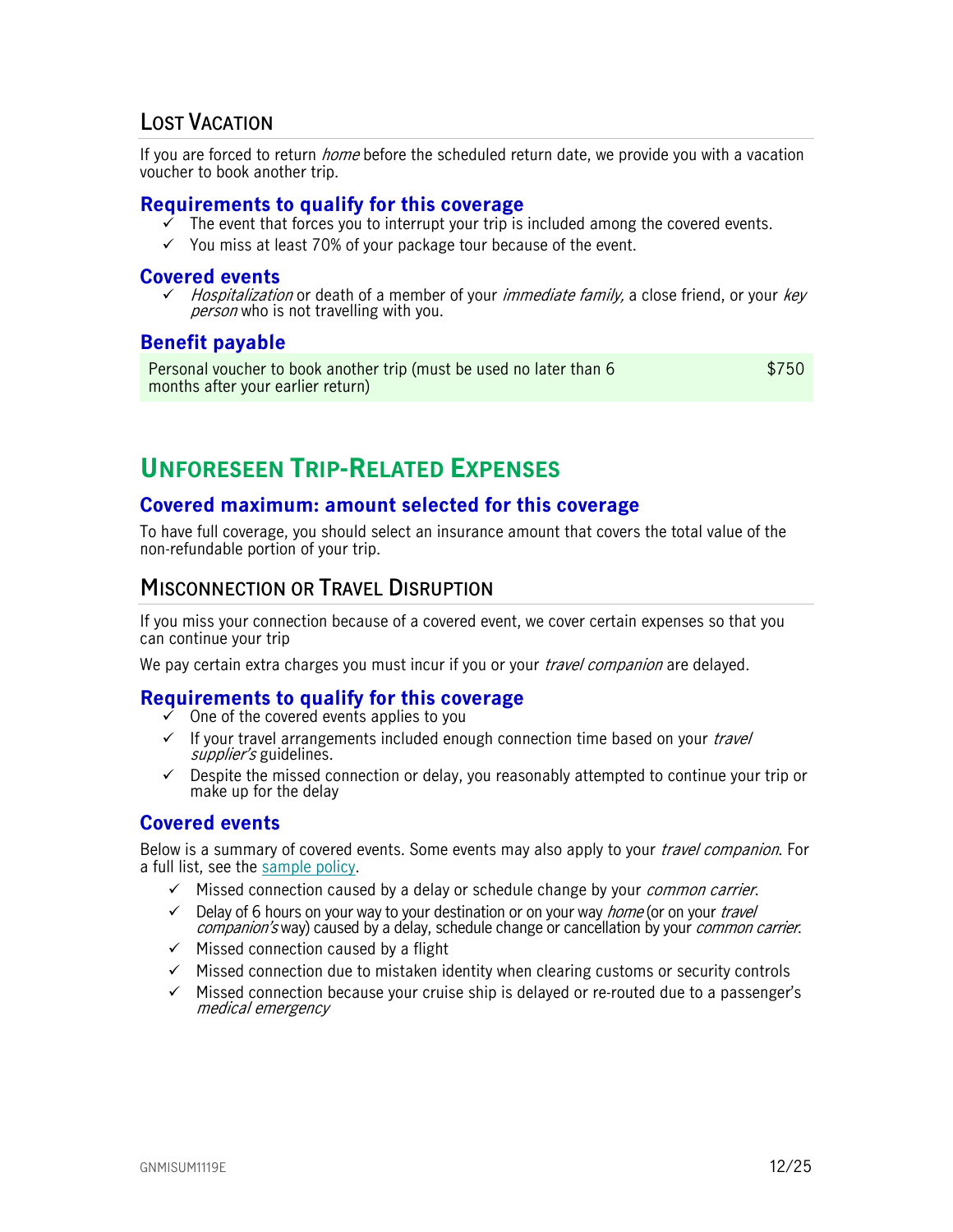## <span id="page-11-0"></span>**LOST VACATION**

If you are forced to return *home* before the scheduled return date, we provide you with a vacation voucher to book another trip.

#### <span id="page-11-1"></span>**Requirements to qualify for this coverage**

- The event that forces you to interrupt your trip is included among the covered events.
- $\checkmark$  You miss at least 70% of your package tour because of the event.

#### <span id="page-11-2"></span>**Covered events**

Hospitalization or death of a member of your *immediate family*, a close friend, or your *key* person who is not travelling with you.

## <span id="page-11-3"></span>**Benefit payable**

<span id="page-11-4"></span>Personal voucher to book another trip (must be used no later than 6 months after your earlier return) \$750

# **UNFORESEEN TRIP-RELATED EXPENSES**

## <span id="page-11-5"></span>**Covered maximum: amount selected for this coverage**

To have full coverage, you should select an insurance amount that covers the total value of the non-refundable portion of your trip.

## <span id="page-11-6"></span>**MISCONNECTION OR TRAVEL DISRUPTION**

If you miss your connection because of a covered event, we cover certain expenses so that you can continue your trip

We pay certain extra charges you must incur if you or your *travel companion* are delayed.

## <span id="page-11-7"></span>**Requirements to qualify for this coverage**

- One of the covered events applies to you
- $\checkmark$  If your travel arrangements included enough connection time based on your *travel* supplier's guidelines.
- $\checkmark$  Despite the missed connection or delay, you reasonably attempted to continue your trip or make up for the delay

## <span id="page-11-8"></span>**Covered events**

Below is a summary of covered events. Some events may also apply to your *travel companion*. For a full list, see the [sample policy.](https://www.igoinsured.com/travelcontent/?file=MS-MC_MS-GCX_policyNMED.pdf)

- $\checkmark$  Missed connection caused by a delay or schedule change by your *common carrier*.
- $\checkmark$  Delay of 6 hours on your way to your destination or on your way *home* (or on your *travel* companion's way) caused by a delay, schedule change or cancellation by your *common carrier*.
- $\checkmark$  Missed connection caused by a flight
- $\checkmark$  Missed connection due to mistaken identity when clearing customs or security controls
- $\checkmark$  Missed connection because your cruise ship is delayed or re-routed due to a passenger's medical emergency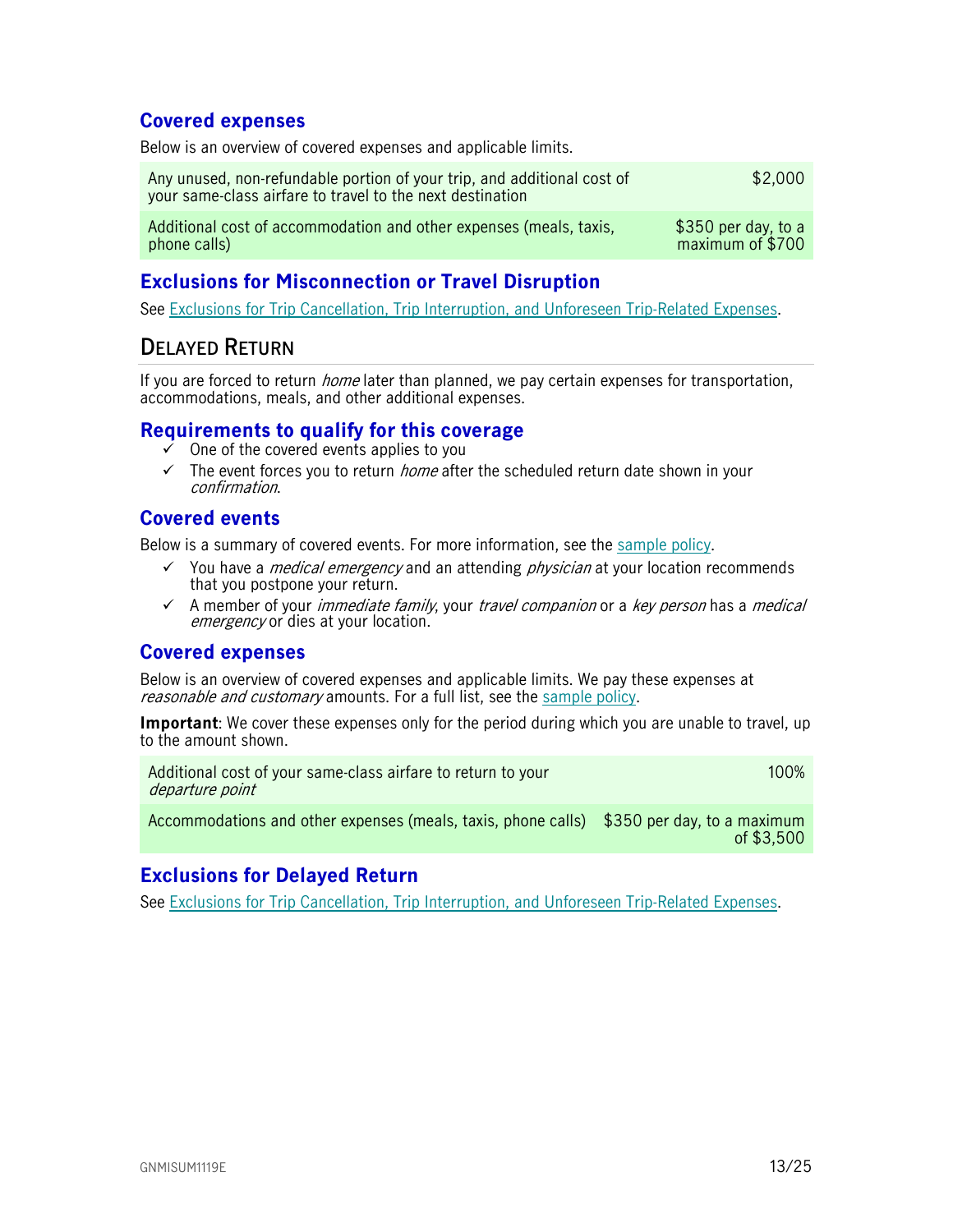## <span id="page-12-0"></span>**Covered expenses**

Below is an overview of covered expenses and applicable limits.

| Any unused, non-refundable portion of your trip, and additional cost of<br>your same-class airfare to travel to the next destination | \$2,000              |
|--------------------------------------------------------------------------------------------------------------------------------------|----------------------|
| Additional cost of accommodation and other expenses (meals, taxis,                                                                   | $$350$ per day, to a |
| phone calls)                                                                                                                         | maximum of \$700     |

## <span id="page-12-1"></span>**Exclusions for Misconnection or Travel Disruption**

See [Exclusions for Trip Cancellation, Trip Interruption, and Unforeseen Trip-Related Expenses.](#page-14-0)

# <span id="page-12-2"></span>**DELAYED RETURN**

If you are forced to return *home* later than planned, we pay certain expenses for transportation, accommodations, meals, and other additional expenses.

## <span id="page-12-3"></span>**Requirements to qualify for this coverage**

- One of the covered events applies to you
- $\checkmark$  The event forces you to return *home* after the scheduled return date shown in your confirmation.

## <span id="page-12-4"></span>**Covered events**

Below is a summary of covered events. For more information, see the [sample policy.](https://www.igoinsured.com/travelcontent/?file=MS-MC_MS-GCX_policyNMED.pdf)

- $\checkmark$  You have a *medical emergency* and an attending *physician* at your location recommends that you postpone your return.
- $\checkmark$  A member of your *immediate family*, your *travel companion* or a *key person* has a *medical* emergency or dies at your location.

## <span id="page-12-5"></span>**Covered expenses**

Below is an overview of covered expenses and applicable limits. We pay these expenses at reasonable and customary amounts. For a full list, see the [sample policy.](https://www.igoinsured.com/travelcontent/?file=MS-MC_MS-GCX_policyNMED.pdf)

**Important**: We cover these expenses only for the period during which you are unable to travel, up to the amount shown.

| Additional cost of your same-class airfare to return to your<br>departure point           | 100% |
|-------------------------------------------------------------------------------------------|------|
| Accommodations and other expenses (meals, taxis, phone calls) \$350 per day, to a maximum |      |

## <span id="page-12-6"></span>**Exclusions for Delayed Return**

See [Exclusions for Trip Cancellation, Trip Interruption, and Unforeseen Trip-Related Expenses.](#page-14-0)

of \$3,500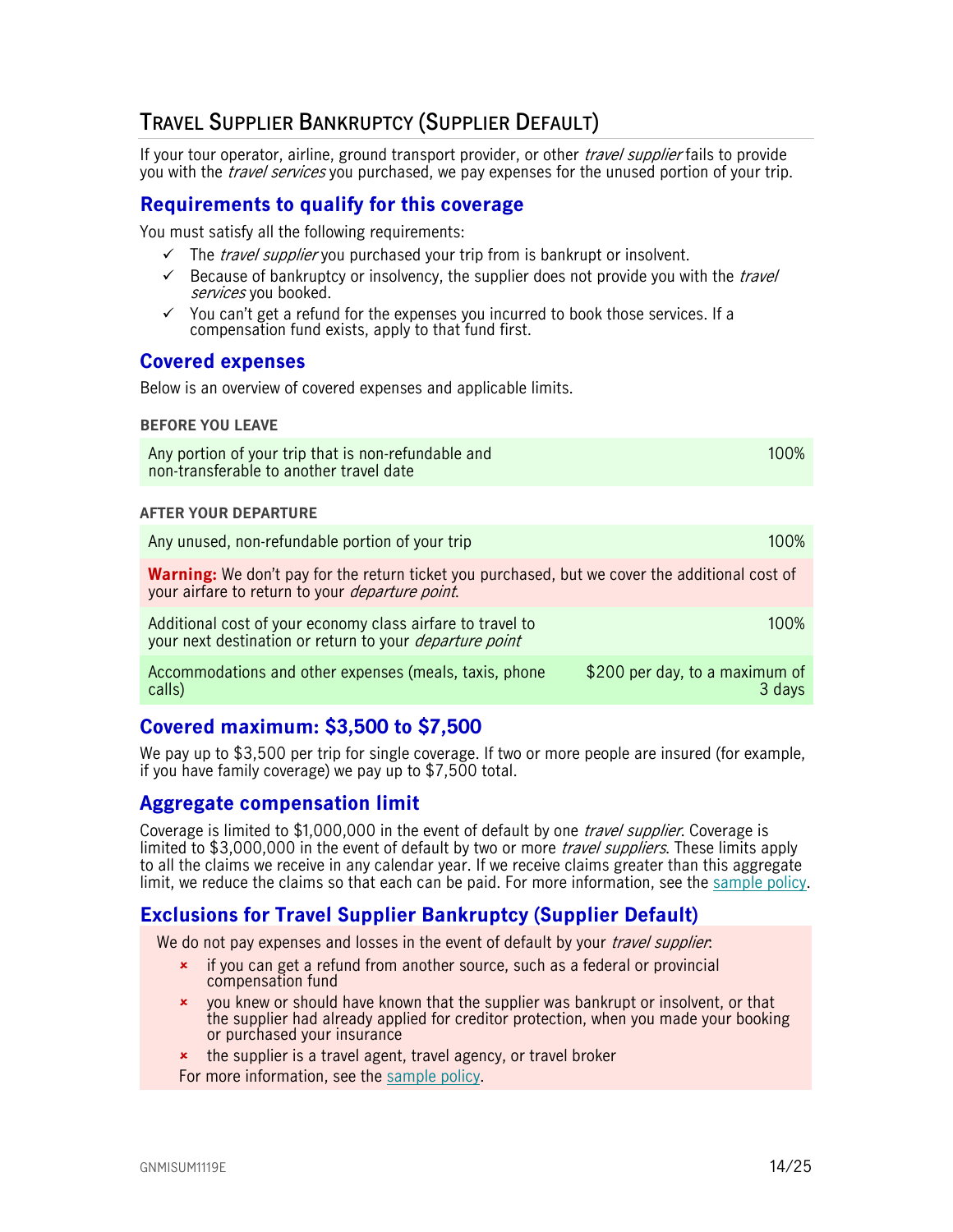# <span id="page-13-0"></span>**TRAVEL SUPPLIER BANKRUPTCY (SUPPLIER DEFAULT)**

If your tour operator, airline, ground transport provider, or other *travel supplier* fails to provide you with the *travel services* you purchased, we pay expenses for the unused portion of your trip.

## <span id="page-13-1"></span>**Requirements to qualify for this coverage**

You must satisfy all the following requirements:

- $\checkmark$  The *travel supplier* you purchased your trip from is bankrupt or insolvent.
- $\checkmark$  Because of bankruptcy or insolvency, the supplier does not provide you with the *travel* services you booked.
- $\checkmark$  You can't get a refund for the expenses you incurred to book those services. If a compensation fund exists, apply to that fund first.

## <span id="page-13-2"></span>**Covered expenses**

Below is an overview of covered expenses and applicable limits.

#### **BEFORE YOU LEAVE**

| Any portion of your trip that is non-refundable and<br>non-transferable to another travel date                                                                   | 100%   |
|------------------------------------------------------------------------------------------------------------------------------------------------------------------|--------|
| <b>AFTER YOUR DEPARTURE</b>                                                                                                                                      |        |
| Any unused, non-refundable portion of your trip                                                                                                                  | 100%   |
| <b>Warning:</b> We don't pay for the return ticket you purchased, but we cover the additional cost of<br>your airfare to return to your <i>departure point</i> . |        |
| Additional cost of your economy class airfare to travel to<br>your next destination or return to your <i>departure point</i>                                     | 100%   |
| \$200 per day, to a maximum of<br>Accommodations and other expenses (meals, taxis, phone<br>calls)                                                               | 3 davs |

## <span id="page-13-3"></span>**Covered maximum: \$3,500 to \$7,500**

We pay up to \$3,500 per trip for single coverage. If two or more people are insured (for example, if you have family coverage) we pay up to \$7,500 total.

## <span id="page-13-4"></span>**Aggregate compensation limit**

Coverage is limited to \$1,000,000 in the event of default by one *travel supplier*. Coverage is limited to \$3,000,000 in the event of default by two or more *travel suppliers*. These limits apply to all the claims we receive in any calendar year. If we receive claims greater than this aggregate limit, we reduce the claims so that each can be paid. For more information, see the [sample policy.](https://www.igoinsured.com/travelcontent/?file=MS-MC_MS-GCX_policyNMED.pdf)

## <span id="page-13-5"></span>**Exclusions for Travel Supplier Bankruptcy (Supplier Default)**

We do not pay expenses and losses in the event of default by your *travel supplier*:

- if you can get a refund from another source, such as a federal or provincial compensation fund
- you knew or should have known that the supplier was bankrupt or insolvent, or that the supplier had already applied for creditor protection, when you made your booking or purchased your insurance
- **\*** the supplier is a travel agent, travel agency, or travel broker
- For more information, see the [sample policy.](https://www.igoinsured.com/travelcontent/?file=MS-MC_MS-GCX_policyNMED.pdf)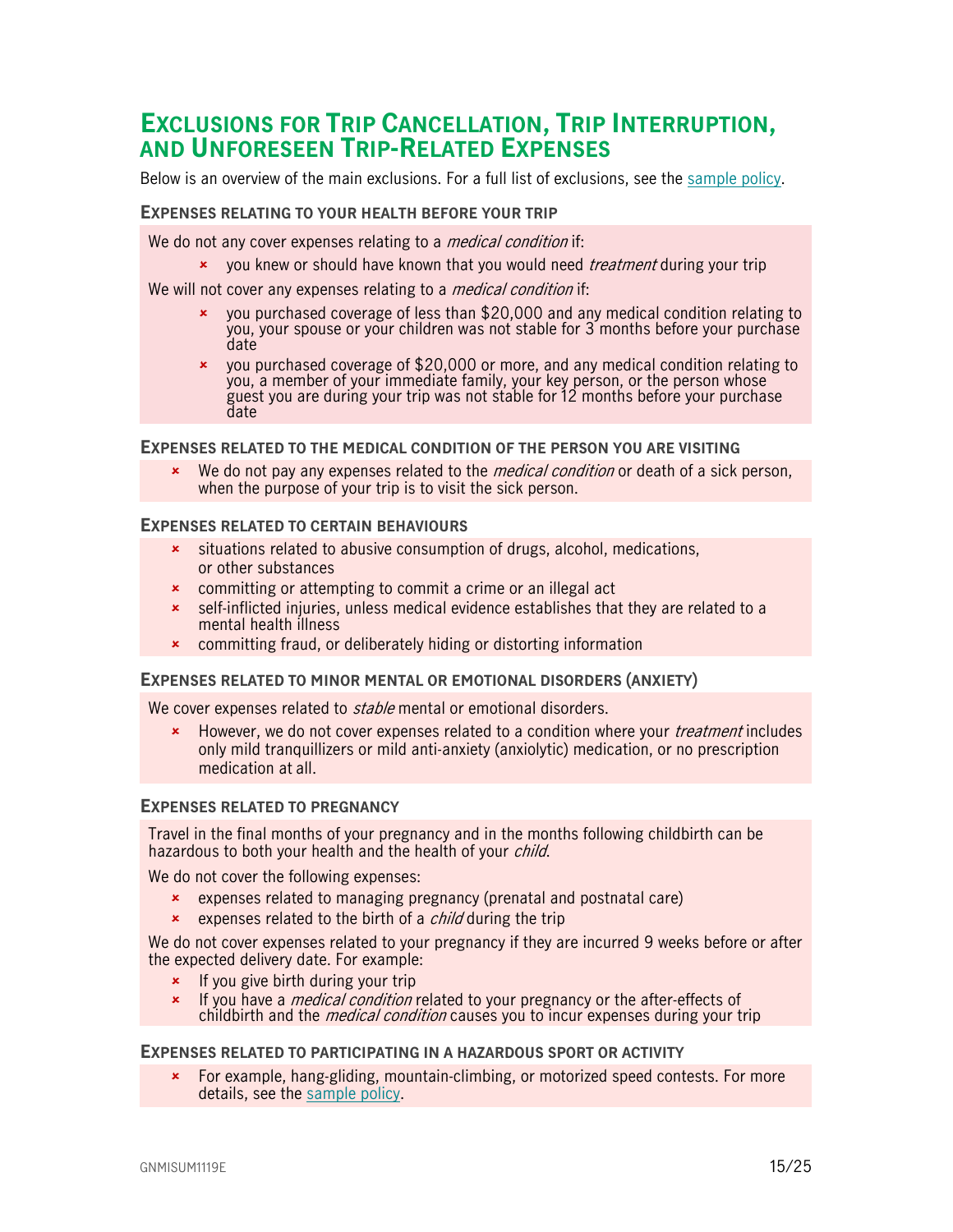# <span id="page-14-0"></span>**EXCLUSIONS FOR TRIP CANCELLATION, TRIP INTERRUPTION, AND UNFORESEEN TRIP-RELATED EXPENSES**

Below is an overview of the main exclusions. For a full list of exclusions, see the [sample policy.](https://www.igoinsured.com/travelcontent/?file=MS-MC_MS-GCX_policyNMED.pdf)

#### **EXPENSES RELATING TO YOUR HEALTH BEFORE YOUR TRIP**

We do not any cover expenses relating to a *medical condition* if:

**x** you knew or should have known that you would need *treatment* during your trip

We will not cover any expenses relating to a *medical condition* if:

- you purchased coverage of less than \$20,000 and any medical condition relating to you, your spouse or your children was not stable for 3 months before your purchase date
- you purchased coverage of \$20,000 or more, and any medical condition relating to you, a member of your immediate family, your key person, or the person whose guest you are during your trip was not stable for 12 months before your purchase date

#### **EXPENSES RELATED TO THE MEDICAL CONDITION OF THE PERSON YOU ARE VISITING**

**EXECT** We do not pay any expenses related to the *medical condition* or death of a sick person, when the purpose of your trip is to visit the sick person.

#### **EXPENSES RELATED TO CERTAIN BEHAVIOURS**

- **x** situations related to abusive consumption of drugs, alcohol, medications, or other substances
- **\*** committing or attempting to commit a crime or an illegal act
- self-inflicted injuries, unless medical evidence establishes that they are related to a mental health illness
- **\*** committing fraud, or deliberately hiding or distorting information

#### **EXPENSES RELATED TO MINOR MENTAL OR EMOTIONAL DISORDERS (ANXIETY)**

We cover expenses related to *stable* mental or emotional disorders.

**EXECT** However, we do not cover expenses related to a condition where your *treatment* includes only mild tranquillizers or mild anti-anxiety (anxiolytic) medication, or no prescription medication at all.

#### **EXPENSES RELATED TO PREGNANCY**

Travel in the final months of your pregnancy and in the months following childbirth can be hazardous to both your health and the health of your *child*.

We do not cover the following expenses:

- expenses related to managing pregnancy (prenatal and postnatal care)
- $\frac{1}{2}$  expenses related to the birth of a *child* during the trip

We do not cover expenses related to your pregnancy if they are incurred 9 weeks before or after the expected delivery date. For example:

- $\frac{1}{\epsilon}$  If you give birth during your trip
- **x** If you have a *medical condition* related to your pregnancy or the after-effects of childbirth and the *medical condition* causes you to incur expenses during your trip

#### **EXPENSES RELATED TO PARTICIPATING IN A HAZARDOUS SPORT OR ACTIVITY**

 For example, hang-gliding, mountain-climbing, or motorized speed contests. For more details, see the [sample policy.](https://www.igoinsured.com/travelcontent/?file=MS-MC_MS-GCX_policyNMED.pdf)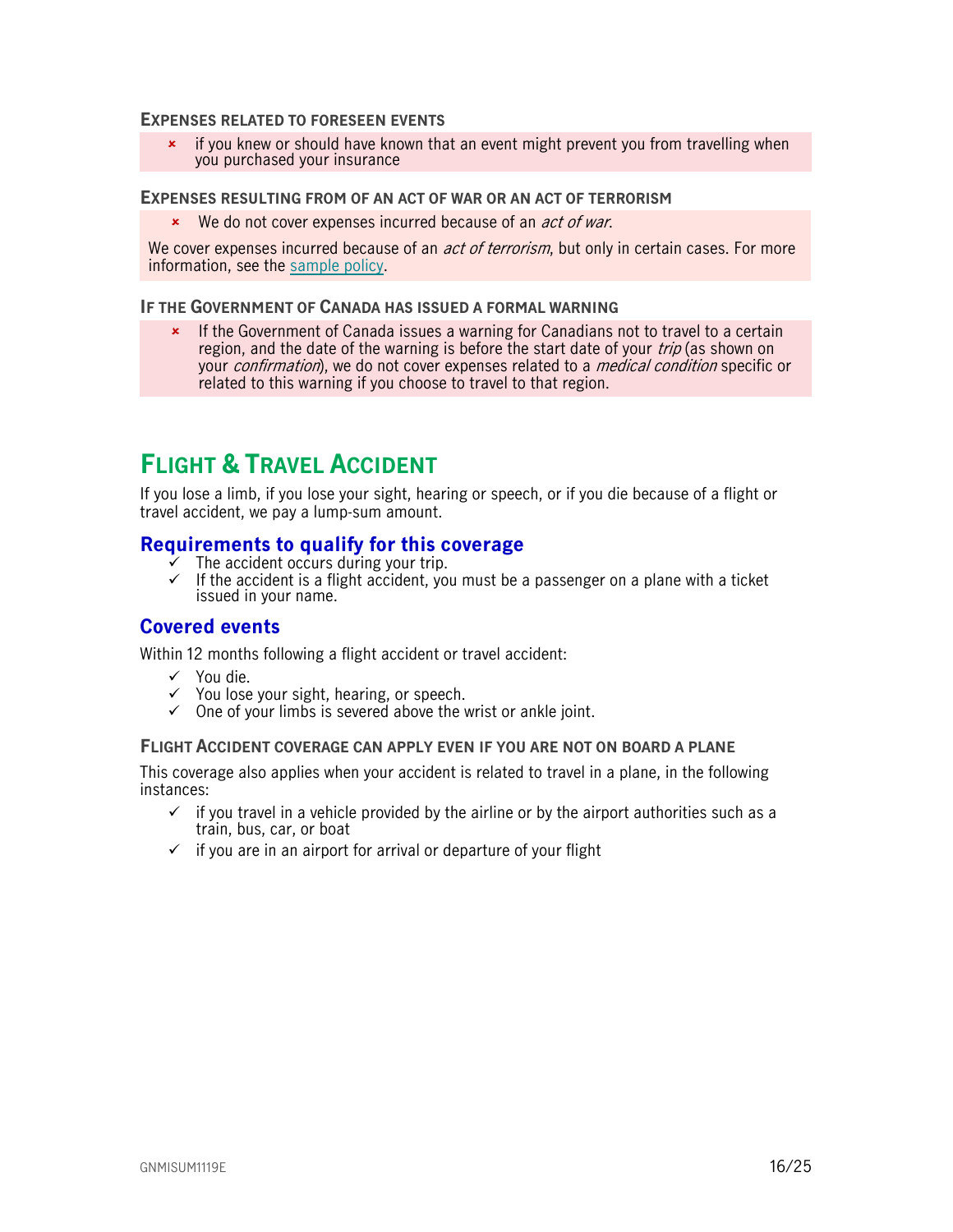#### **EXPENSES RELATED TO FORESEEN EVENTS**

\* if you knew or should have known that an event might prevent you from travelling when you purchased your insurance

#### **EXPENSES RESULTING FROM OF AN ACT OF WAR OR AN ACT OF TERRORISM**

**\*** We do not cover expenses incurred because of an *act of war*.

We cover expenses incurred because of an *act of terrorism*, but only in certain cases. For more information, see the [sample policy.](https://www.igoinsured.com/travelcontent/?file=MS-MC_MS-GCX_policyNMED.pdf)

#### **IF THE GOVERNMENT OF CANADA HAS ISSUED A FORMAL WARNING**

**\*** If the Government of Canada issues a warning for Canadians not to travel to a certain region, and the date of the warning is before the start date of your *trip* (as shown on your *confirmation*), we do not cover expenses related to a *medical condition* specific or related to this warning if you choose to travel to that region.

# <span id="page-15-0"></span>**FLIGHT & TRAVEL ACCIDENT**

If you lose a limb, if you lose your sight, hearing or speech, or if you die because of a flight or travel accident, we pay a lump-sum amount.

## <span id="page-15-1"></span>**Requirements to qualify for this coverage**

- $\bar{y}$  The accident occurs during your trip.
- $\checkmark$  If the accident is a flight accident, you must be a passenger on a plane with a ticket issued in your name.

## <span id="page-15-2"></span>**Covered events**

Within 12 months following a flight accident or travel accident:

- $\checkmark$  You die.
- $\checkmark$  You lose your sight, hearing, or speech.
- $\checkmark$  One of your limbs is severed above the wrist or ankle joint.

#### **FLIGHT ACCIDENT COVERAGE CAN APPLY EVEN IF YOU ARE NOT ON BOARD A PLANE**

This coverage also applies when your accident is related to travel in a plane, in the following instances:

- $\checkmark$  if you travel in a vehicle provided by the airline or by the airport authorities such as a train, bus, car, or boat
- $\checkmark$  if you are in an airport for arrival or departure of your flight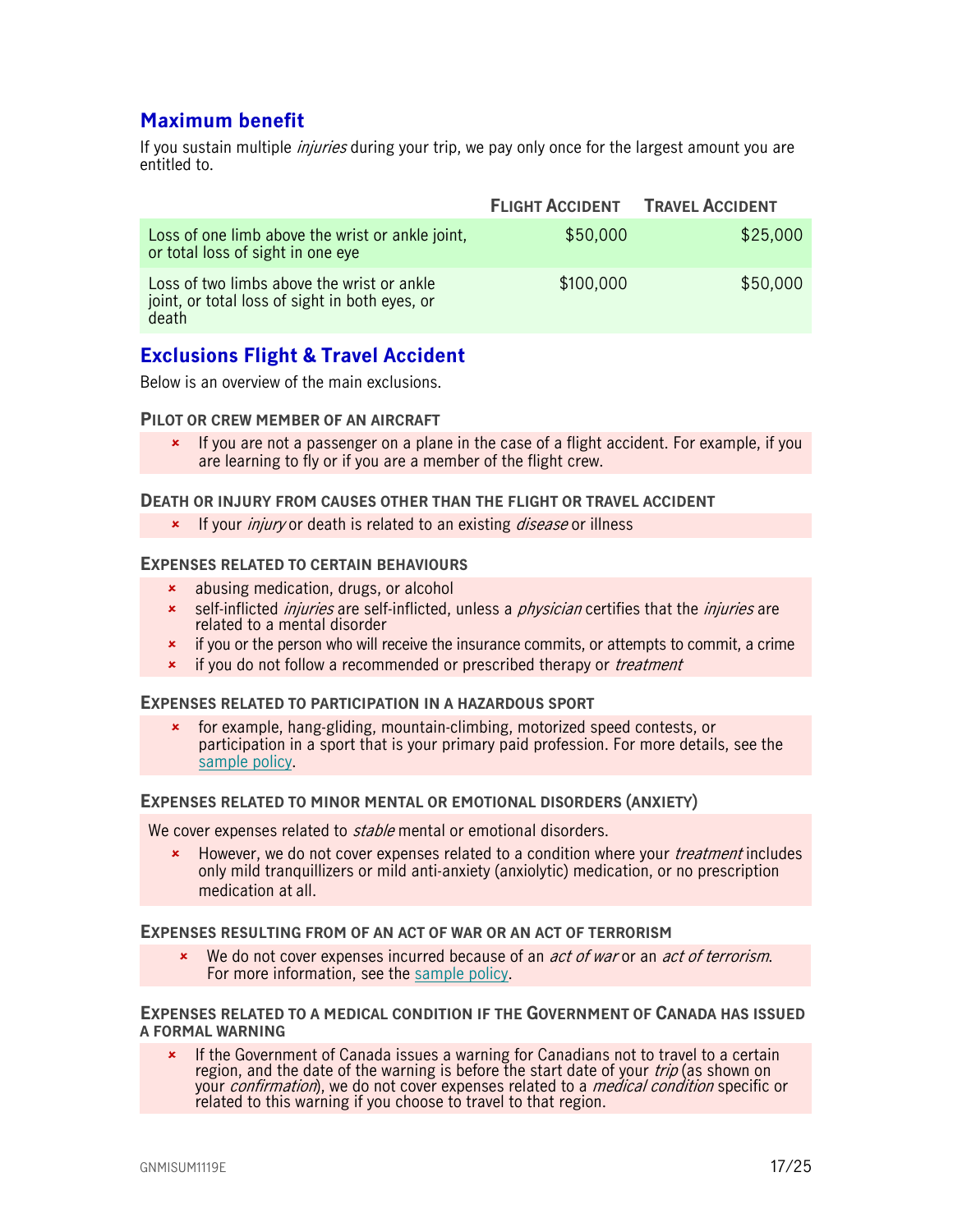## <span id="page-16-0"></span>**Maximum benefit**

If you sustain multiple *injuries* during your trip, we pay only once for the largest amount you are entitled to.

|                                                                                                       | <b>FLIGHT ACCIDENT</b> | <b>TRAVEL ACCIDENT</b> |
|-------------------------------------------------------------------------------------------------------|------------------------|------------------------|
| Loss of one limb above the wrist or ankle joint,<br>or total loss of sight in one eye                 | \$50,000               | \$25,000               |
| Loss of two limbs above the wrist or ankle<br>joint, or total loss of sight in both eyes, or<br>death | \$100,000              | \$50,000               |

## <span id="page-16-1"></span>**Exclusions Flight & Travel Accident**

Below is an overview of the main exclusions.

#### **PILOT OR CREW MEMBER OF AN AIRCRAFT**

 If you are not a passenger on a plane in the case of a flight accident. For example, if you are learning to fly or if you are a member of the flight crew.

#### **DEATH OR INJURY FROM CAUSES OTHER THAN THE FLIGHT OR TRAVEL ACCIDENT**

**\*** If your *injury* or death is related to an existing *disease* or illness

#### **EXPENSES RELATED TO CERTAIN BEHAVIOURS**

- abusing medication, drugs, or alcohol
- **x** self-inflicted *injuries* are self-inflicted, unless a *physician* certifies that the *injuries* are related to a mental disorder
- $\star$  if you or the person who will receive the insurance commits, or attempts to commit, a crime
- **\*** if you do not follow a recommended or prescribed therapy or *treatment*

#### **EXPENSES RELATED TO PARTICIPATION IN A HAZARDOUS SPORT**

 for example, hang-gliding, mountain-climbing, motorized speed contests, or participation in a sport that is your primary paid profession. For more details, see the [sample policy.](https://www.igoinsured.com/travelcontent/?file=MS-MC_MS-GCX_policyNMED.pdf)

#### **EXPENSES RELATED TO MINOR MENTAL OR EMOTIONAL DISORDERS (ANXIETY)**

We cover expenses related to *stable* mental or emotional disorders.

**EXECT** However, we do not cover expenses related to a condition where your *treatment* includes only mild tranquillizers or mild anti-anxiety (anxiolytic) medication, or no prescription medication at all.

#### **EXPENSES RESULTING FROM OF AN ACT OF WAR OR AN ACT OF TERRORISM**

We do not cover expenses incurred because of an *act of war* or an *act of terrorism*. For more information, see the [sample policy.](https://www.igoinsured.com/travelcontent/?file=MS-MC_MS-GCX_policyNMED.pdf)

#### **EXPENSES RELATED TO A MEDICAL CONDITION IF THE GOVERNMENT OF CANADA HAS ISSUED A FORMAL WARNING**

**\*** If the Government of Canada issues a warning for Canadians not to travel to a certain region, and the date of the warning is before the start date of your trip (as shown on your *confirmation*), we do not cover expenses related to a *medical condition* specific or related to this warning if you choose to travel to that region.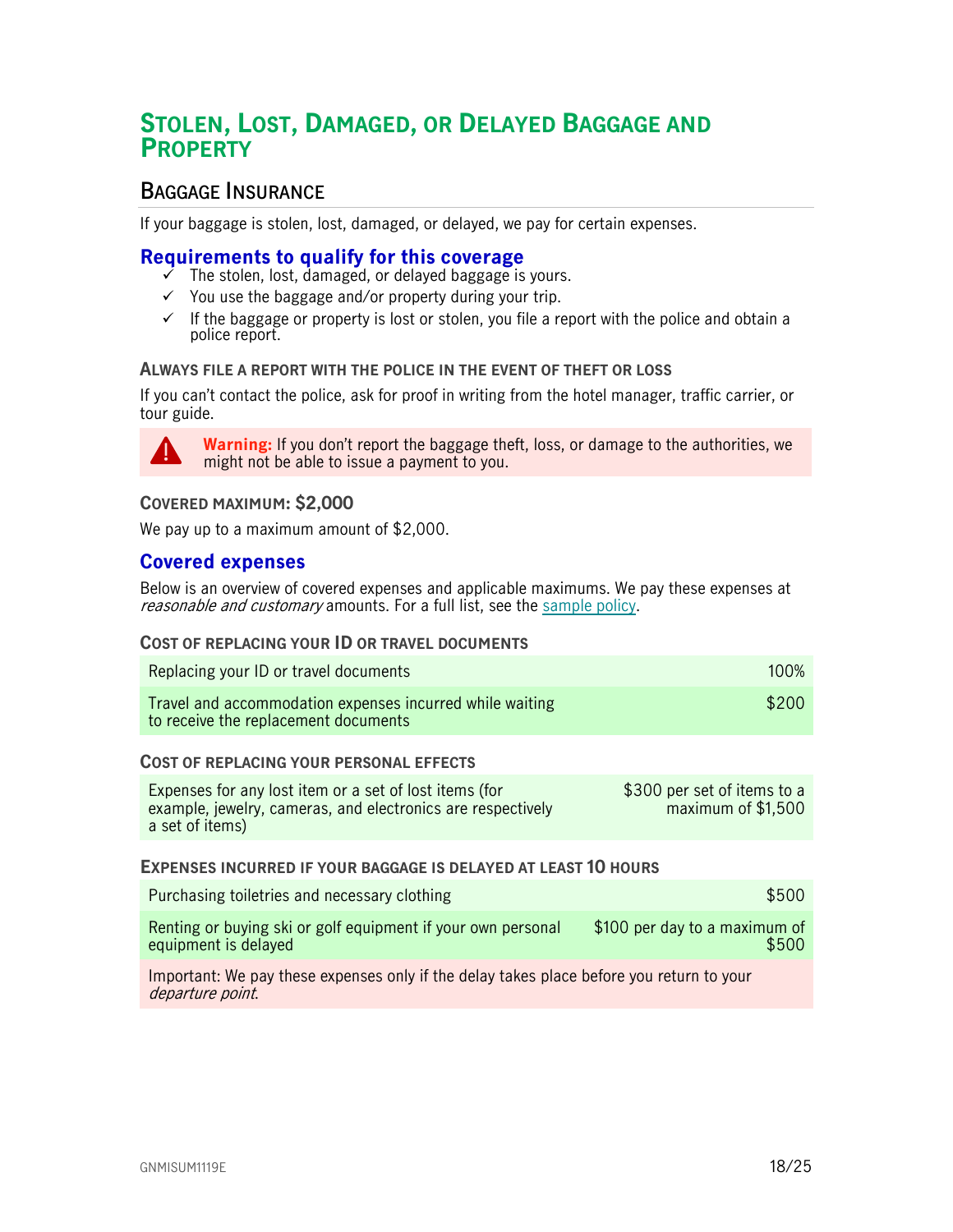# <span id="page-17-0"></span>**STOLEN, LOST, DAMAGED, OR DELAYED BAGGAGE AND PROPERTY**

## <span id="page-17-1"></span>**BAGGAGE INSURANCE**

If your baggage is stolen, lost, damaged, or delayed, we pay for certain expenses.

## <span id="page-17-2"></span>**Requirements to qualify for this coverage**

- The stolen, lost, damaged, or delayed baggage is yours.
- $\checkmark$  You use the baggage and/or property during your trip.
- $\checkmark$  If the baggage or property is lost or stolen, you file a report with the police and obtain a police report.

#### **ALWAYS FILE A REPORT WITH THE POLICE IN THE EVENT OF THEFT OR LOSS**

If you can't contact the police, ask for proof in writing from the hotel manager, traffic carrier, or tour guide.



**Warning:** If you don't report the baggage theft, loss, or damage to the authorities, we might not be able to issue a payment to you.

#### **COVERED MAXIMUM: \$2,000**

We pay up to a maximum amount of \$2,000.

## <span id="page-17-3"></span>**Covered expenses**

Below is an overview of covered expenses and applicable maximums. We pay these expenses at reasonable and customary amounts. For a full list, see the [sample policy.](https://www.igoinsured.com/travelcontent/?file=MS-MC_MS-GCX_policyNMED.pdf)

#### **COST OF REPLACING YOUR ID OR TRAVEL DOCUMENTS**

| Replacing your ID or travel documents                                                            | <b>100%</b> |
|--------------------------------------------------------------------------------------------------|-------------|
| Travel and accommodation expenses incurred while waiting<br>to receive the replacement documents | \$200       |

#### **COST OF REPLACING YOUR PERSONAL EFFECTS**

| Expenses for any lost item or a set of lost items (for      | \$300 per set of items to a |
|-------------------------------------------------------------|-----------------------------|
| example, jewelry, cameras, and electronics are respectively | maximum of \$1,500          |
| a set of items)                                             |                             |

#### **EXPENSES INCURRED IF YOUR BAGGAGE IS DELAYED AT LEAST 10 HOURS**

| Purchasing toiletries and necessary clothing                 | \$500                         |
|--------------------------------------------------------------|-------------------------------|
| Renting or buying ski or golf equipment if your own personal | \$100 per day to a maximum of |
| equipment is delayed                                         | \$500                         |

Important: We pay these expenses only if the delay takes place before you return to your departure point.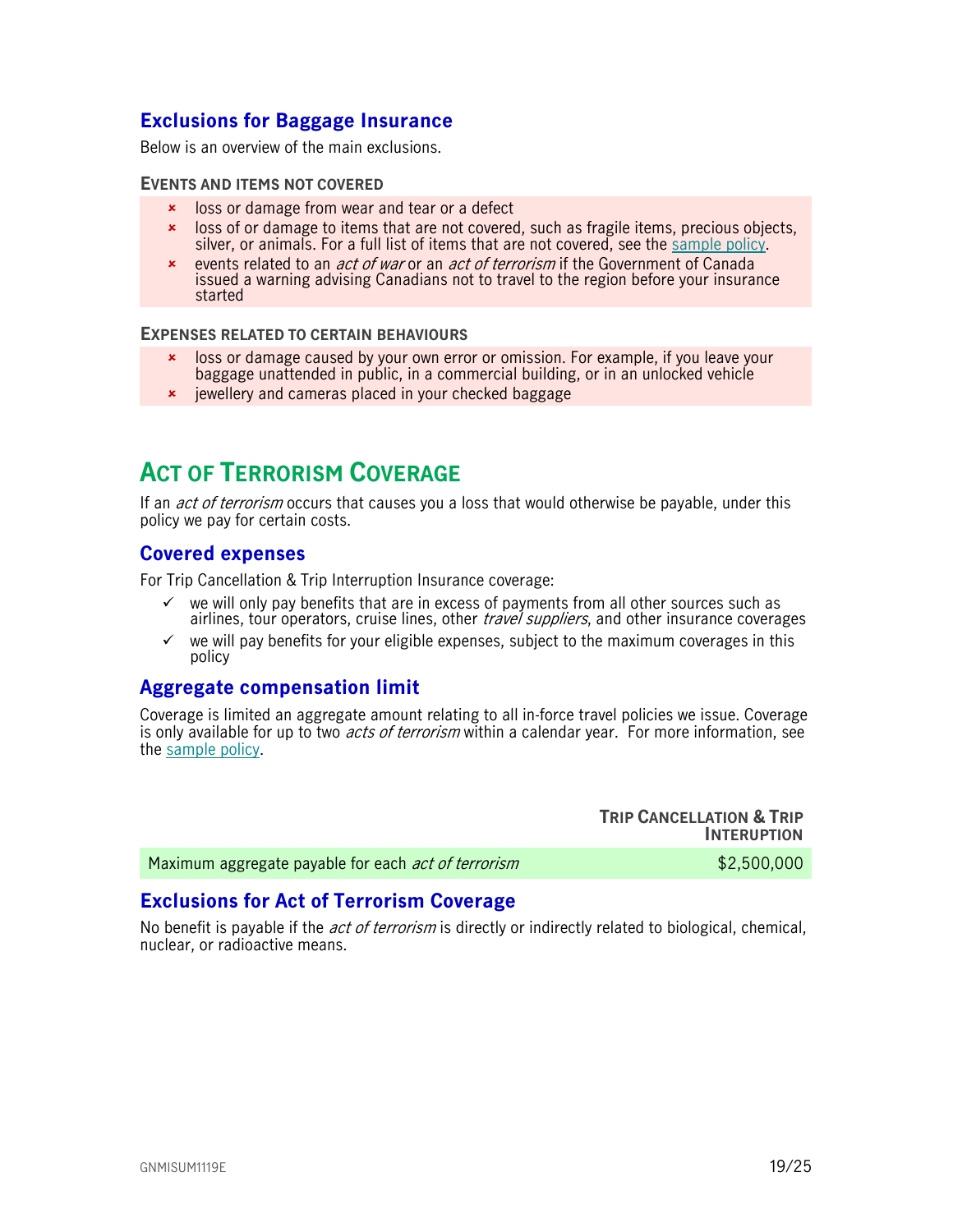## <span id="page-18-0"></span>**Exclusions for Baggage Insurance**

Below is an overview of the main exclusions.

#### **EVENTS AND ITEMS NOT COVERED**

- **x** loss or damage from wear and tear or a defect
- loss of or damage to items that are not covered, such as fragile items, precious objects, silver, or animals. For a full list of items that are not covered, see the [sample policy.](https://www.igoinsured.com/travelcontent/?file=MS-MC_MS-GCX_policyNMED.pdf)
- **Exercise related to an** *act of war* **or an** *act of terrorism* **if the Government of Canada** issued a warning advising Canadians not to travel to the region before your insurance started

#### **EXPENSES RELATED TO CERTAIN BEHAVIOURS**

- loss or damage caused by your own error or omission. For example, if you leave your baggage unattended in public, in a commercial building, or in an unlocked vehicle
- <span id="page-18-1"></span>**\*** jewellery and cameras placed in your checked baggage

# **ACT OF TERRORISM COVERAGE**

If an *act of terrorism* occurs that causes you a loss that would otherwise be payable, under this policy we pay for certain costs.

## <span id="page-18-2"></span>**Covered expenses**

For Trip Cancellation & Trip Interruption Insurance coverage:

- $\checkmark$  we will only pay benefits that are in excess of payments from all other sources such as airlines, tour operators, cruise lines, other *travel suppliers*, and other insurance coverages
- $\checkmark$  we will pay benefits for your eligible expenses, subject to the maximum coverages in this policy

## <span id="page-18-3"></span>**Aggregate compensation limit**

Coverage is limited an aggregate amount relating to all in-force travel policies we issue. Coverage is only available for up to two *acts of terrorism* within a calendar year. For more information, see the [sample policy.](https://www.igoinsured.com/travelcontent/?file=MS-MC_MS-GCX_policyNMED.pdf)

**TRIP CANCELLATION & TRIP INTERUPTION** Maximum aggregate payable for each *act of terrorism*  $$2,500,000$ 

## <span id="page-18-4"></span>**Exclusions for Act of Terrorism Coverage**

No benefit is payable if the *act of terrorism* is directly or indirectly related to biological, chemical, nuclear, or radioactive means.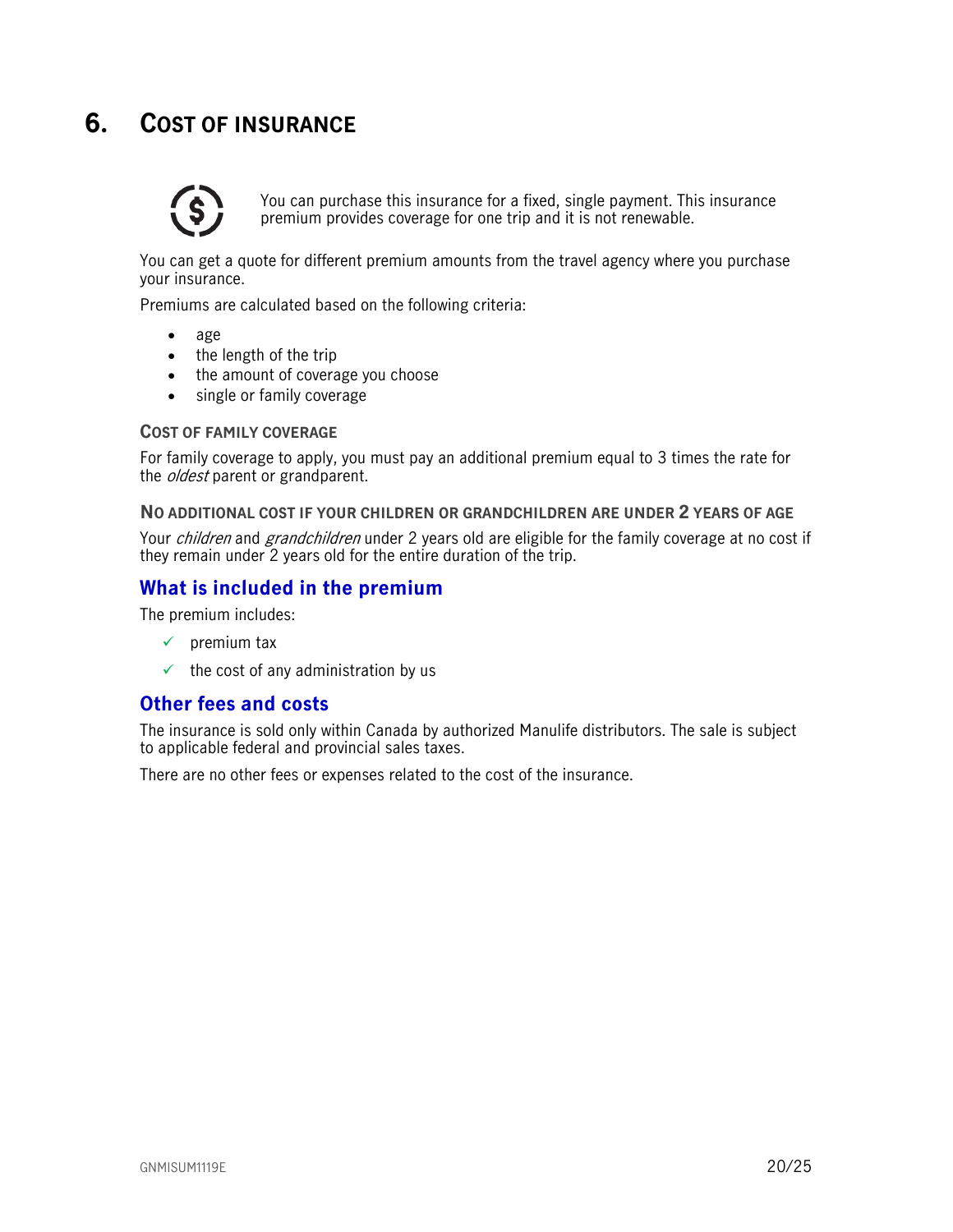# <span id="page-19-0"></span>**6. COST OF INSURANCE**



You can purchase this insurance for a fixed, single payment. This insurance premium provides coverage for one trip and it is not renewable.

You can get a quote for different premium amounts from the travel agency where you purchase your insurance.

Premiums are calculated based on the following criteria:

- age
- the length of the trip
- the amount of coverage you choose
- single or family coverage

#### **COST OF FAMILY COVERAGE**

For family coverage to apply, you must pay an additional premium equal to 3 times the rate for the *oldest* parent or grandparent.

#### **NO ADDITIONAL COST IF YOUR CHILDREN OR GRANDCHILDREN ARE UNDER 2 YEARS OF AGE**

Your *children* and *grandchildren* under 2 years old are eligible for the family coverage at no cost if they remain under 2 years old for the entire duration of the trip.

## <span id="page-19-1"></span>**What is included in the premium**

The premium includes:

- $\checkmark$  premium tax
- $\checkmark$  the cost of any administration by us

## <span id="page-19-2"></span>**Other fees and costs**

The insurance is sold only within Canada by authorized Manulife distributors. The sale is subject to applicable federal and provincial sales taxes.

There are no other fees or expenses related to the cost of the insurance.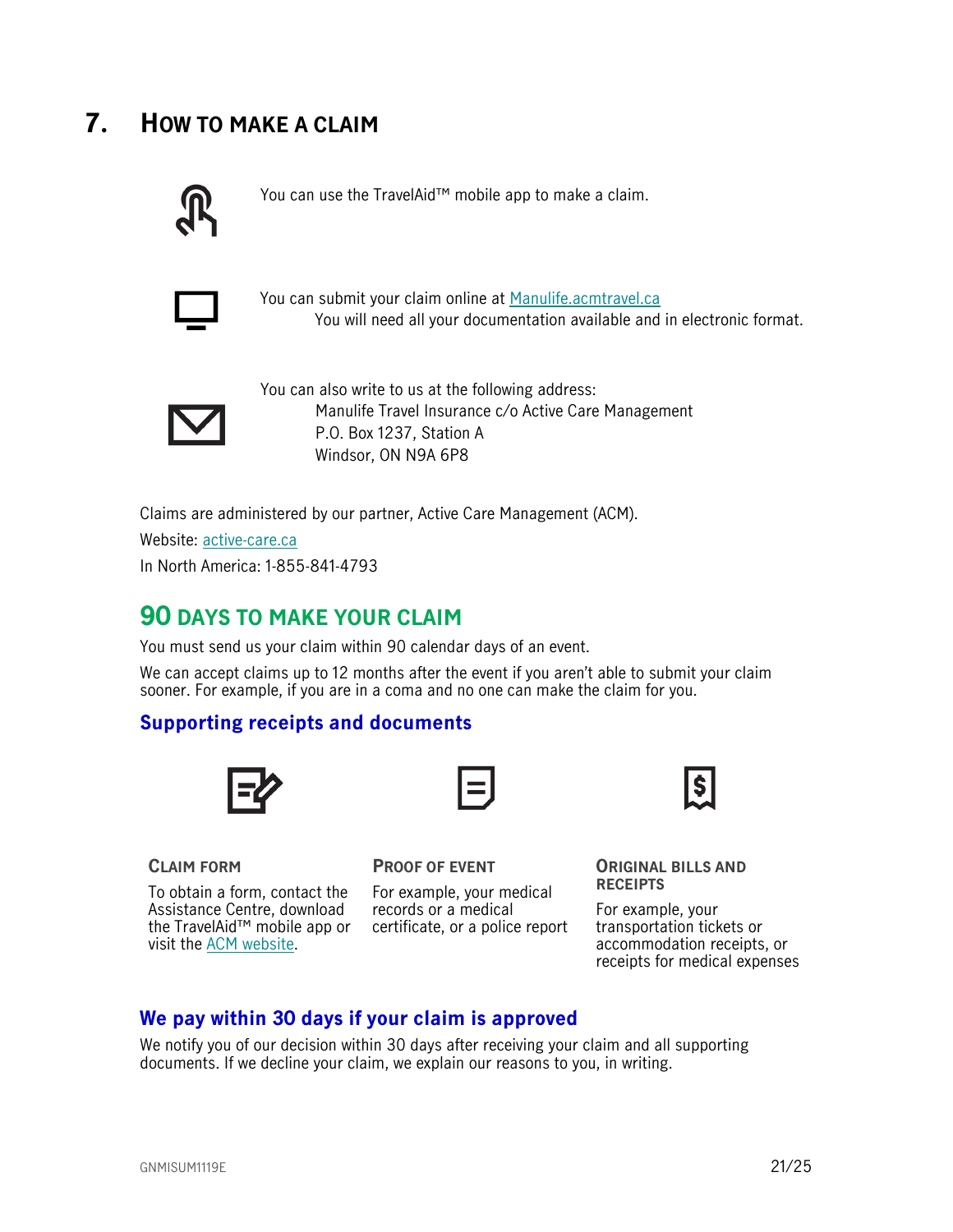# <span id="page-20-0"></span>**7. HOW TO MAKE A CLAIM**



You can use the TravelAid™ mobile app to make a claim.



You can submit your claim online at [Manulife.acmtravel.ca](https://manulife.acmtravel.ca/accounts/login/) You will need all your documentation available and in electronic format.



You can also write to us at the following address: Manulife Travel Insurance c/o Active Care Management P.O. Box 1237, Station A Windsor, ON N9A 6P8

Claims are administered by our partner, Active Care Management (ACM).

Website: [active-care.ca](http://www.active-care.ca/)

In North America: 1-855-841-4793

# <span id="page-20-1"></span>**90 DAYS TO MAKE YOUR CLAIM**

You must send us your claim within 90 calendar days of an event.

We can accept claims up to 12 months after the event if you aren't able to submit your claim sooner. For example, if you are in a coma and no one can make the claim for you.

## <span id="page-20-2"></span>**Supporting receipts and documents**



# **CLAIM FORM**

To obtain a form, contact the Assistance Centre, download the TravelAid™ mobile app or certificate, or a police report visit the [ACM website.](https://www.active-care.ca/claims/)

**PROOF OF EVENT**

For example, your medical records or a medical



**ORIGINAL BILLS AND RECEIPTS** 

For example, your transportation tickets or accommodation receipts, or receipts for medical expenses

## <span id="page-20-3"></span>**We pay within 30 days if your claim is approved**

We notify you of our decision within 30 days after receiving your claim and all supporting documents. If we decline your claim, we explain our reasons to you, in writing.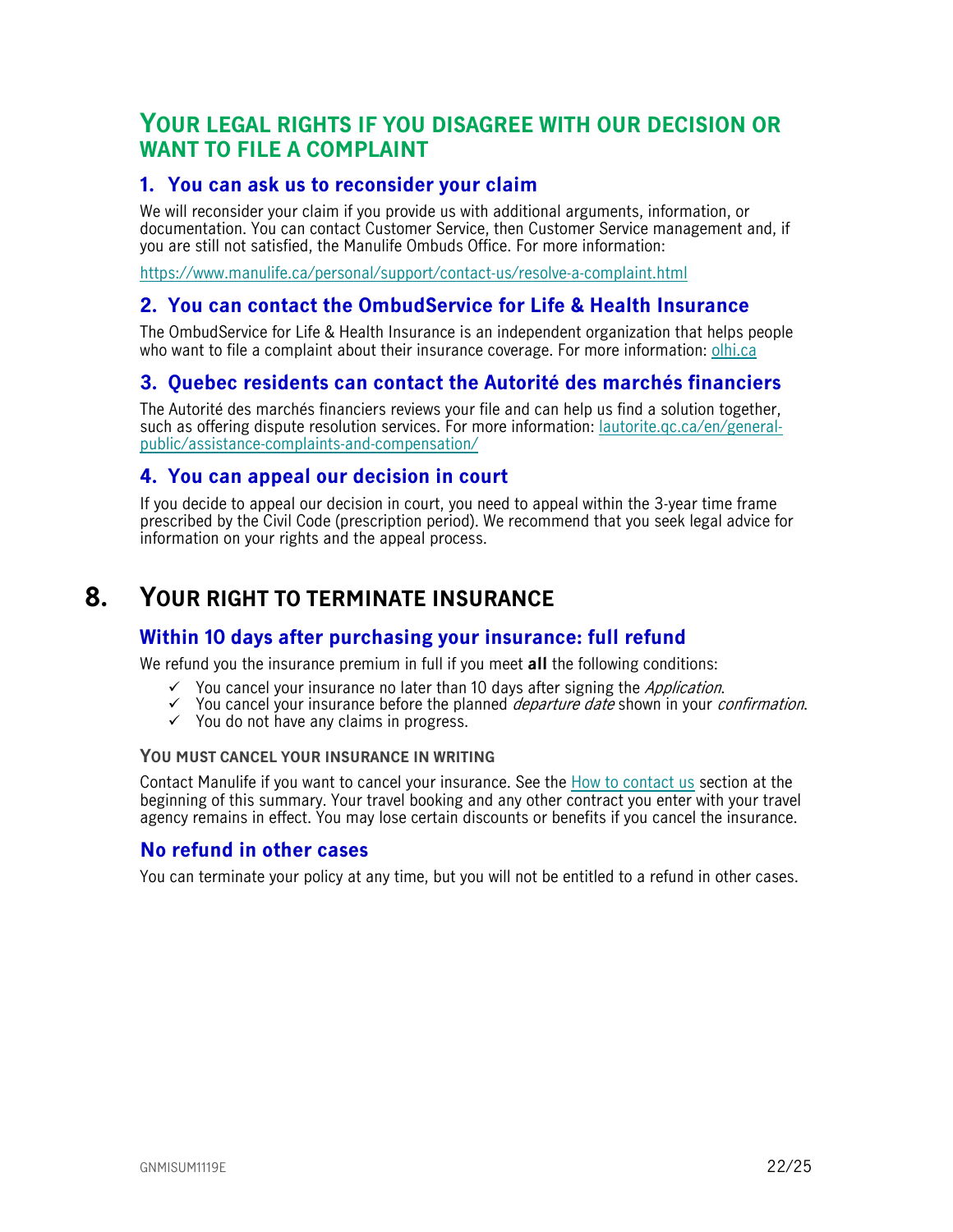## <span id="page-21-1"></span>**YOUR LEGAL RIGHTS IF YOU DISAGREE WITH OUR DECISION OR WANT TO FILE A COMPLAINT**

## <span id="page-21-2"></span>**1. You can ask us to reconsider your claim**

We will reconsider your claim if you provide us with additional arguments, information, or documentation. You can contact Customer Service, then Customer Service management and, if you are still not satisfied, the Manulife Ombuds Office. For more information:

<https://www.manulife.ca/personal/support/contact-us/resolve-a-complaint.html>

## <span id="page-21-3"></span>**2. You can contact the OmbudService for Life & Health Insurance**

The OmbudService for Life & Health Insurance is an independent organization that helps people who want to file a complaint about their insurance coverage. For more information: [olhi.ca](http://www.olhi.ca/)

## <span id="page-21-4"></span>**3. Quebec residents can contact the Autorité des marchés financiers**

The Autorité des marchés financiers reviews your file and can help us find a solution together, such as offering dispute resolution services. For more information: [lautorite.qc.ca/en/general](https://lautorite.qc.ca/en/general-public/assistance-and-complaints/)[public/assistance-complaints-and-compensation/](https://lautorite.qc.ca/en/general-public/assistance-and-complaints/)

## <span id="page-21-5"></span>**4. You can appeal our decision in court**

<span id="page-21-0"></span>If you decide to appeal our decision in court, you need to appeal within the 3-year time frame prescribed by the Civil Code (prescription period). We recommend that you seek legal advice for information on your rights and the appeal process.

# **8. YOUR RIGHT TO TERMINATE INSURANCE**

## <span id="page-21-6"></span>**Within 10 days after purchasing your insurance: full refund**

We refund you the insurance premium in full if you meet **all** the following conditions:

- $\checkmark$  You cancel your insurance no later than 10 days after signing the *Application*.
- $\checkmark$  You cancel your insurance before the planned *departure date* shown in your *confirmation*.
- $\checkmark$  You do not have any claims in progress.

#### **YOU MUST CANCEL YOUR INSURANCE IN WRITING**

Contact Manulife if you want to cancel your insurance. See the [How to contact us](#page-1-0) section at the beginning of this summary. Your travel booking and any other contract you enter with your travel agency remains in effect. You may lose certain discounts or benefits if you cancel the insurance.

## <span id="page-21-7"></span>**No refund in other cases**

You can terminate your policy at any time, but you will not be entitled to a refund in other cases.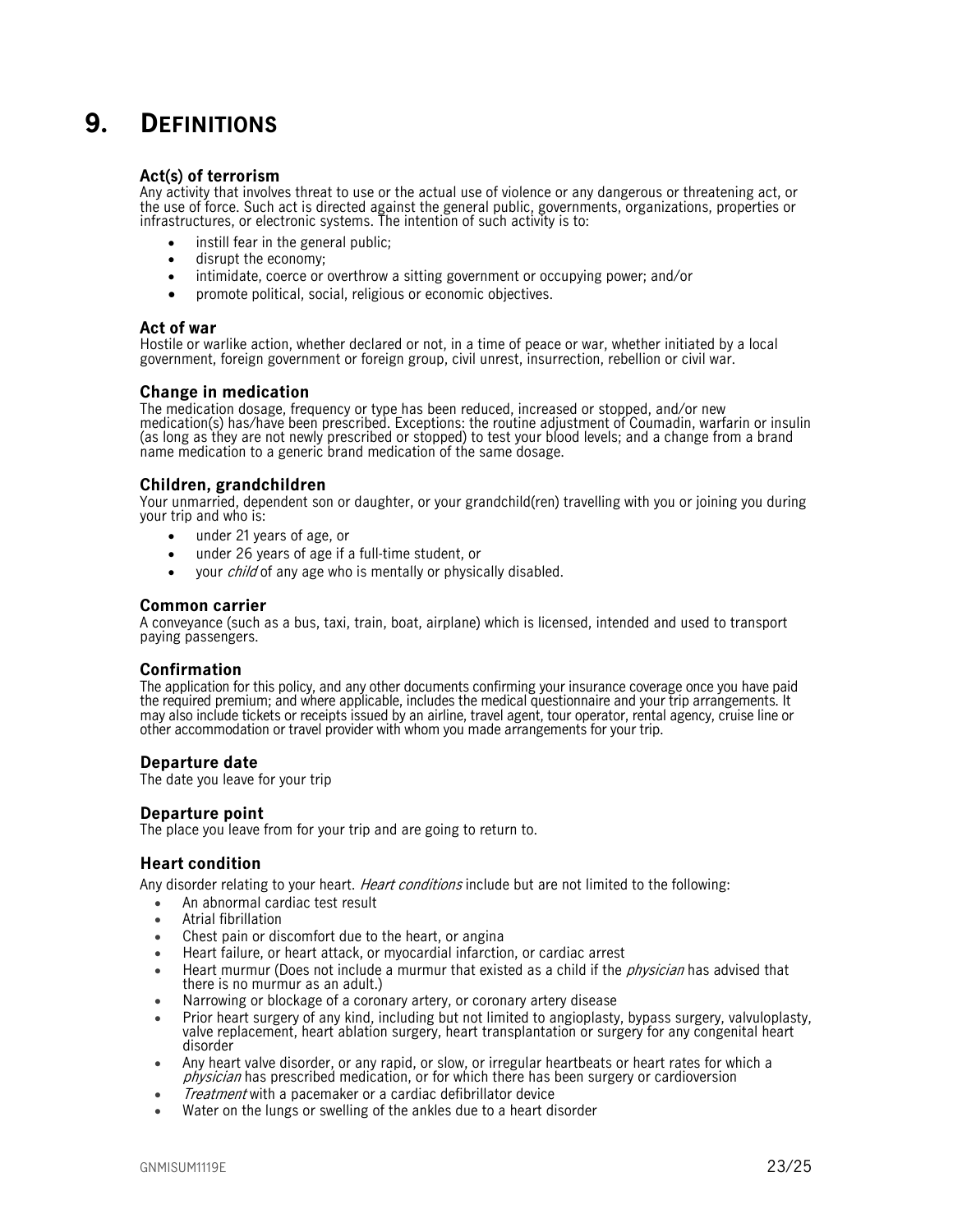# <span id="page-22-0"></span>**9. DEFINITIONS**

#### **Act(s) of terrorism**

Any activity that involves threat to use or the actual use of violence or any dangerous or threatening act, or the use of force. Such act is directed against the general public, governments, organizations, properties or infrastructures, or electronic systems. The intention of such activity is to:

- instill fear in the general public:
- disrupt the economy;
- intimidate, coerce or overthrow a sitting government or occupying power; and/or
- promote political, social, religious or economic objectives.

#### **Act of war**

Hostile or warlike action, whether declared or not, in a time of peace or war, whether initiated by a local government, foreign government or foreign group, civil unrest, insurrection, rebellion or civil war.

#### **Change in medication**

The medication dosage, frequency or type has been reduced, increased or stopped, and/or new medication(s) has/have been prescribed. Exceptions: the routine adjustment of Coumadin, warfarin or insulin (as long as they are not newly prescribed or stopped) to test your blood levels; and a change from a brand name medication to a generic brand medication of the same dosage.

#### **Children, grandchildren**

Your unmarried, dependent son or daughter, or your grandchild(ren) travelling with you or joining you during your trip and who is:

- under 21 years of age, or
- under 26 years of age if a full-time student, or
- vour *child* of any age who is mentally or physically disabled.

#### **Common carrier**

A conveyance (such as a bus, taxi, train, boat, airplane) which is licensed, intended and used to transport paying passengers.

#### **Confirmation**

The application for this policy, and any other documents confirming your insurance coverage once you have paid the required premium; and where applicable, includes the medical questionnaire and your trip arrangements. It may also include tickets or receipts issued by an airline, travel agent, tour operator, rental agency, cruise line or other accommodation or travel provider with whom you made arrangements for your trip.

#### **Departure date**

The date you leave for your trip

#### **Departure point**

The place you leave from for your trip and are going to return to.

#### **Heart condition**

Any disorder relating to your heart. *Heart conditions* include but are not limited to the following:

- An abnormal cardiac test result
- Atrial fibrillation
- Chest pain or discomfort due to the heart, or angina
- Heart failure, or heart attack, or myocardial infarction, or cardiac arrest
- Heart murmur (Does not include a murmur that existed as a child if the *physician* has advised that there is no murmur as an adult.)
- Narrowing or blockage of a coronary artery, or coronary artery disease
- Prior heart surgery of any kind, including but not limited to angioplasty, bypass surgery, valvuloplasty, valve replacement, heart ablation surgery, heart transplantation or surgery for any congenital heart disorder
- Any heart valve disorder, or any rapid, or slow, or irregular heartbeats or heart rates for which a physician has prescribed medication, or for which there has been surgery or cardioversion
- Treatment with a pacemaker or a cardiac defibrillator device
- Water on the lungs or swelling of the ankles due to a heart disorder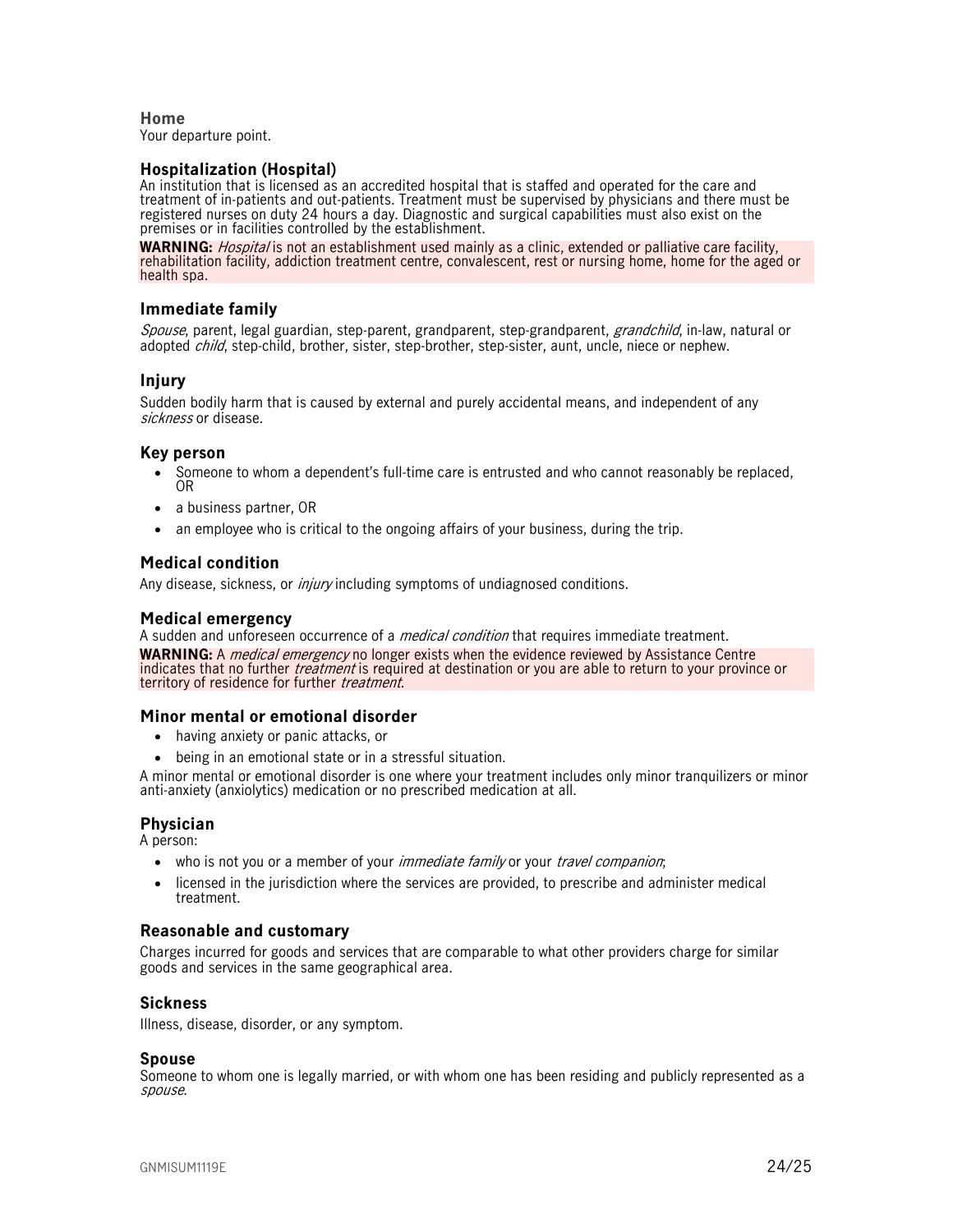**Home**  Your departure point.

#### **Hospitalization (Hospital)**

An institution that is licensed as an accredited hospital that is staffed and operated for the care and treatment of in-patients and out-patients. Treatment must be supervised by physicians and there must be registered nurses on duty 24 hours a day. Diagnostic and surgical capabilities must also exist on the premises or in facilities controlled by the establishment.

**WARNING:** Hospital is not an establishment used mainly as a clinic, extended or palliative care facility, rehabilitation facility, addiction treatment centre, convalescent, rest or nursing home, home for the aged or health spa.

#### **Immediate family**

Spouse, parent, legal guardian, step-parent, grandparent, step-grandparent, grandchild, in-law, natural or adopted *child*, step-child, brother, sister, step-brother, step-sister, aunt, uncle, niece or nephew.

#### **Injury**

Sudden bodily harm that is caused by external and purely accidental means, and independent of any sickness or disease.

#### **Key person**

- Someone to whom a dependent's full-time care is entrusted and who cannot reasonably be replaced, OR
- a business partner, OR
- an employee who is critical to the ongoing affairs of your business, during the trip.

#### **Medical condition**

Any disease, sickness, or *injury* including symptoms of undiagnosed conditions.

#### **Medical emergency**

A sudden and unforeseen occurrence of a *medical condition* that requires immediate treatment. **WARNING:** A *medical emergency* no longer exists when the evidence reviewed by Assistance Centre indicates that no further *treatment* is required at destination or you are able to return to your province or territory of residence for further treatment.

#### **Minor mental or emotional disorder**

- having anxiety or panic attacks, or
- being in an emotional state or in a stressful situation.

A minor mental or emotional disorder is one where your treatment includes only minor tranquilizers or minor anti-anxiety (anxiolytics) medication or no prescribed medication at all.

#### **Physician**

A person:

- who is not you or a member of your *immediate family* or your *travel companion*;
- licensed in the jurisdiction where the services are provided, to prescribe and administer medical treatment.

#### **Reasonable and customary**

Charges incurred for goods and services that are comparable to what other providers charge for similar goods and services in the same geographical area.

#### **Sickness**

Illness, disease, disorder, or any symptom.

#### **Spouse**

Someone to whom one is legally married, or with whom one has been residing and publicly represented as a spouse.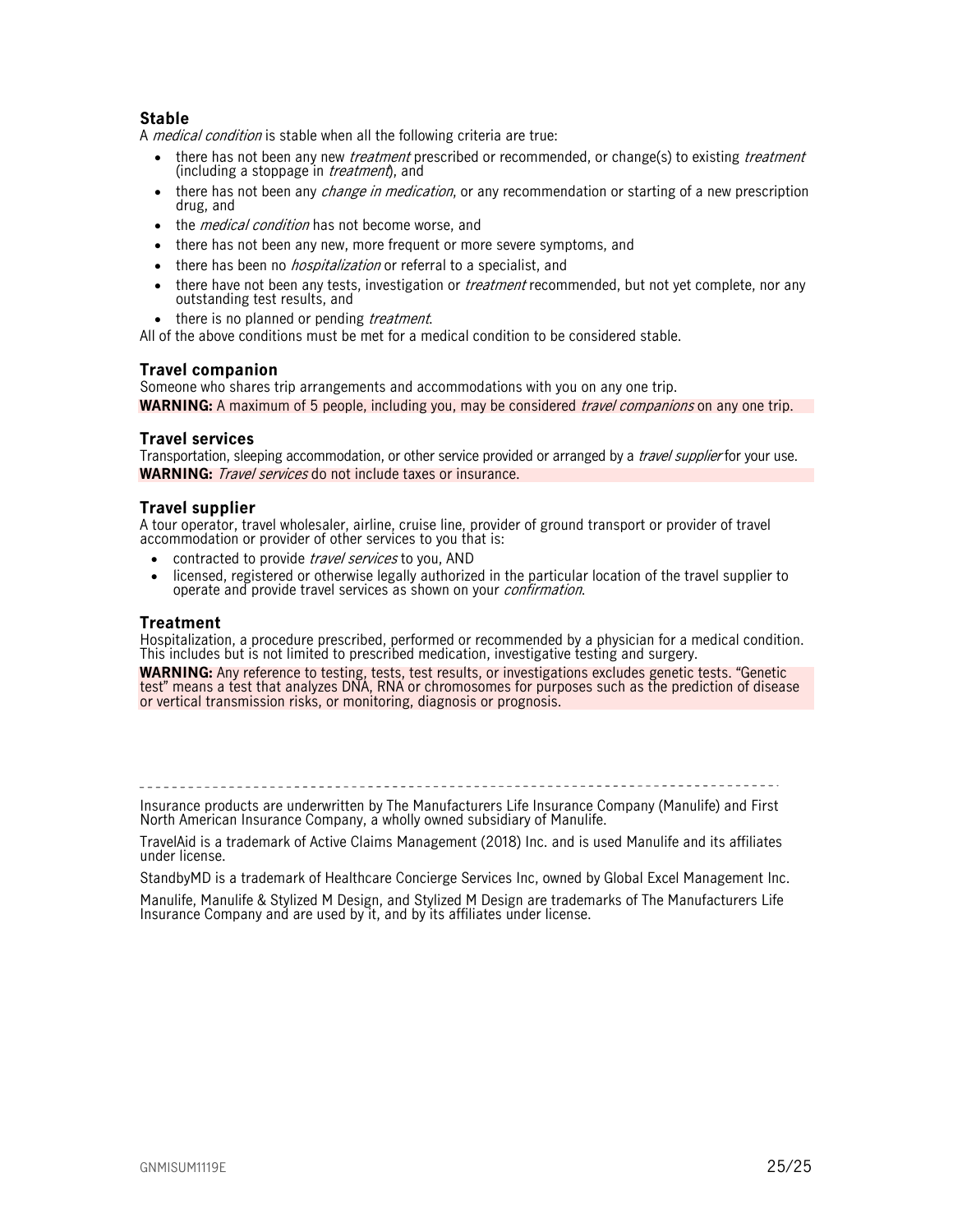#### **Stable**

A *medical condition* is stable when all the following criteria are true:

- there has not been any new *treatment* prescribed or recommended, or change(s) to existing *treatment* (including a stoppage in *treatment*), and
- there has not been any *change in medication*, or any recommendation or starting of a new prescription drug, and
- the *medical condition* has not become worse, and
- there has not been any new, more frequent or more severe symptoms, and
- there has been no *hospitalization* or referral to a specialist, and
- there have not been any tests, investigation or *treatment* recommended, but not yet complete, nor any outstanding test results, and
- there is no planned or pending *treatment*.

All of the above conditions must be met for a medical condition to be considered stable.

#### **Travel companion**

Someone who shares trip arrangements and accommodations with you on any one trip. **WARNING:** A maximum of 5 people, including you, may be considered *travel companions* on any one trip.

#### **Travel services**

Transportation, sleeping accommodation, or other service provided or arranged by a *travel supplier* for your use. **WARNING:** Travel services do not include taxes or insurance.

#### **Travel supplier**

A tour operator, travel wholesaler, airline, cruise line, provider of ground transport or provider of travel accommodation or provider of other services to you that is:

- contracted to provide travel services to you, AND
- licensed, registered or otherwise legally authorized in the particular location of the travel supplier to operate and provide travel services as shown on your confirmation.

#### **Treatment**

Hospitalization, a procedure prescribed, performed or recommended by a physician for a medical condition. This includes but is not limited to prescribed medication, investigative testing and surgery.

**WARNING:** Any reference to testing, tests, test results, or investigations excludes genetic tests. "Genetic test" means a test that analyzes DNA, RNA or chromosomes for purposes such as the prediction of disease or vertical transmission risks, or monitoring, diagnosis or prognosis.

Insurance products are underwritten by The Manufacturers Life Insurance Company (Manulife) and First North American Insurance Company, a wholly owned subsidiary of Manulife.

TravelAid is a trademark of Active Claims Management (2018) Inc. and is used Manulife and its affiliates under license.

StandbyMD is a trademark of Healthcare Concierge Services Inc, owned by Global Excel Management Inc.

Manulife, Manulife & Stylized M Design, and Stylized M Design are trademarks of The Manufacturers Life Insurance Company and are used by it, and by its affiliates under license.